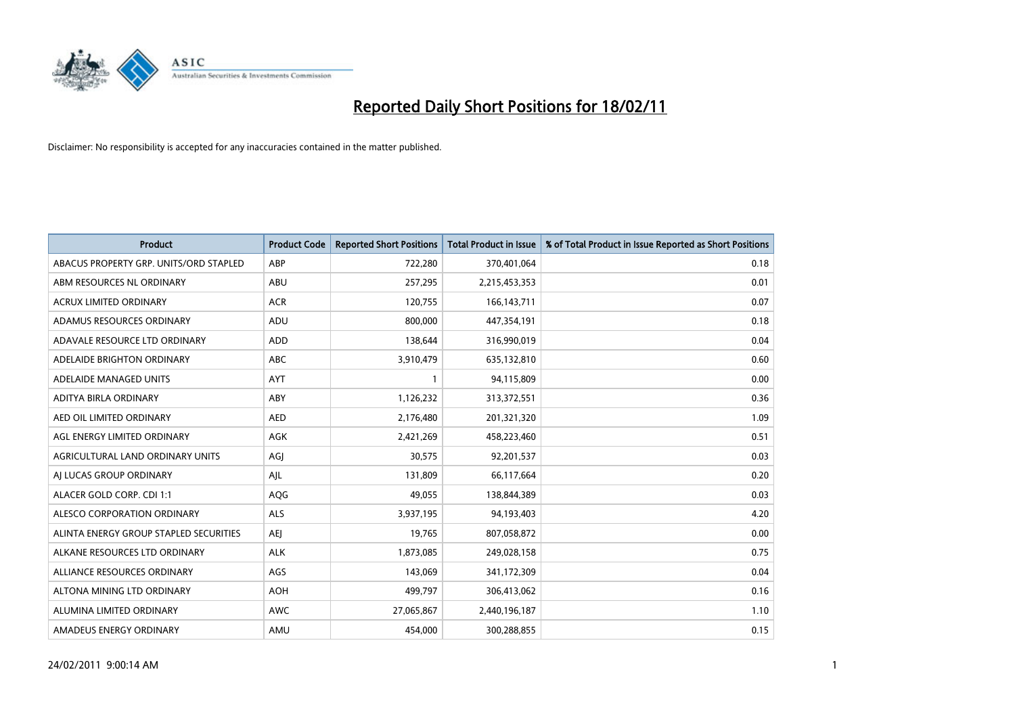

| <b>Product</b>                         | <b>Product Code</b> | <b>Reported Short Positions</b> | <b>Total Product in Issue</b> | % of Total Product in Issue Reported as Short Positions |
|----------------------------------------|---------------------|---------------------------------|-------------------------------|---------------------------------------------------------|
| ABACUS PROPERTY GRP. UNITS/ORD STAPLED | ABP                 | 722,280                         | 370,401,064                   | 0.18                                                    |
| ABM RESOURCES NL ORDINARY              | ABU                 | 257,295                         | 2,215,453,353                 | 0.01                                                    |
| <b>ACRUX LIMITED ORDINARY</b>          | <b>ACR</b>          | 120,755                         | 166, 143, 711                 | 0.07                                                    |
| ADAMUS RESOURCES ORDINARY              | ADU                 | 800,000                         | 447,354,191                   | 0.18                                                    |
| ADAVALE RESOURCE LTD ORDINARY          | <b>ADD</b>          | 138,644                         | 316,990,019                   | 0.04                                                    |
| ADELAIDE BRIGHTON ORDINARY             | <b>ABC</b>          | 3,910,479                       | 635,132,810                   | 0.60                                                    |
| ADELAIDE MANAGED UNITS                 | <b>AYT</b>          |                                 | 94,115,809                    | 0.00                                                    |
| ADITYA BIRLA ORDINARY                  | ABY                 | 1,126,232                       | 313,372,551                   | 0.36                                                    |
| AED OIL LIMITED ORDINARY               | <b>AED</b>          | 2,176,480                       | 201,321,320                   | 1.09                                                    |
| AGL ENERGY LIMITED ORDINARY            | <b>AGK</b>          | 2,421,269                       | 458,223,460                   | 0.51                                                    |
| AGRICULTURAL LAND ORDINARY UNITS       | AGJ                 | 30,575                          | 92,201,537                    | 0.03                                                    |
| AI LUCAS GROUP ORDINARY                | AJL                 | 131,809                         | 66,117,664                    | 0.20                                                    |
| ALACER GOLD CORP. CDI 1:1              | AQG                 | 49,055                          | 138,844,389                   | 0.03                                                    |
| ALESCO CORPORATION ORDINARY            | ALS                 | 3,937,195                       | 94,193,403                    | 4.20                                                    |
| ALINTA ENERGY GROUP STAPLED SECURITIES | AEJ                 | 19,765                          | 807,058,872                   | 0.00                                                    |
| ALKANE RESOURCES LTD ORDINARY          | <b>ALK</b>          | 1,873,085                       | 249,028,158                   | 0.75                                                    |
| ALLIANCE RESOURCES ORDINARY            | AGS                 | 143,069                         | 341,172,309                   | 0.04                                                    |
| ALTONA MINING LTD ORDINARY             | <b>AOH</b>          | 499,797                         | 306,413,062                   | 0.16                                                    |
| ALUMINA LIMITED ORDINARY               | <b>AWC</b>          | 27,065,867                      | 2,440,196,187                 | 1.10                                                    |
| AMADEUS ENERGY ORDINARY                | AMU                 | 454.000                         | 300,288,855                   | 0.15                                                    |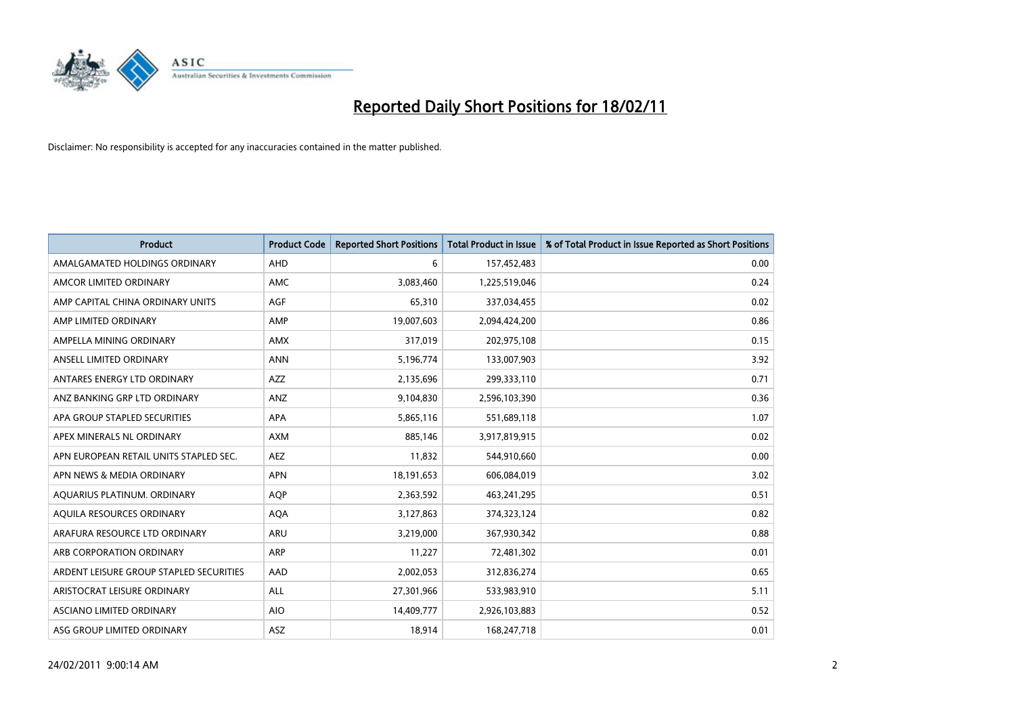

| Product                                 | <b>Product Code</b> | <b>Reported Short Positions</b> | <b>Total Product in Issue</b> | % of Total Product in Issue Reported as Short Positions |
|-----------------------------------------|---------------------|---------------------------------|-------------------------------|---------------------------------------------------------|
| AMALGAMATED HOLDINGS ORDINARY           | <b>AHD</b>          | 6                               | 157,452,483                   | 0.00                                                    |
| AMCOR LIMITED ORDINARY                  | <b>AMC</b>          | 3,083,460                       | 1,225,519,046                 | 0.24                                                    |
| AMP CAPITAL CHINA ORDINARY UNITS        | <b>AGF</b>          | 65,310                          | 337,034,455                   | 0.02                                                    |
| AMP LIMITED ORDINARY                    | AMP                 | 19,007,603                      | 2,094,424,200                 | 0.86                                                    |
| AMPELLA MINING ORDINARY                 | <b>AMX</b>          | 317,019                         | 202,975,108                   | 0.15                                                    |
| ANSELL LIMITED ORDINARY                 | <b>ANN</b>          | 5,196,774                       | 133,007,903                   | 3.92                                                    |
| ANTARES ENERGY LTD ORDINARY             | AZZ                 | 2,135,696                       | 299,333,110                   | 0.71                                                    |
| ANZ BANKING GRP LTD ORDINARY            | ANZ                 | 9,104,830                       | 2,596,103,390                 | 0.36                                                    |
| APA GROUP STAPLED SECURITIES            | <b>APA</b>          | 5,865,116                       | 551,689,118                   | 1.07                                                    |
| APEX MINERALS NL ORDINARY               | <b>AXM</b>          | 885.146                         | 3,917,819,915                 | 0.02                                                    |
| APN EUROPEAN RETAIL UNITS STAPLED SEC.  | <b>AEZ</b>          | 11,832                          | 544,910,660                   | 0.00                                                    |
| APN NEWS & MEDIA ORDINARY               | <b>APN</b>          | 18,191,653                      | 606,084,019                   | 3.02                                                    |
| AQUARIUS PLATINUM. ORDINARY             | <b>AOP</b>          | 2,363,592                       | 463,241,295                   | 0.51                                                    |
| AOUILA RESOURCES ORDINARY               | <b>AQA</b>          | 3,127,863                       | 374,323,124                   | 0.82                                                    |
| ARAFURA RESOURCE LTD ORDINARY           | <b>ARU</b>          | 3,219,000                       | 367,930,342                   | 0.88                                                    |
| ARB CORPORATION ORDINARY                | <b>ARP</b>          | 11,227                          | 72,481,302                    | 0.01                                                    |
| ARDENT LEISURE GROUP STAPLED SECURITIES | AAD                 | 2,002,053                       | 312,836,274                   | 0.65                                                    |
| ARISTOCRAT LEISURE ORDINARY             | <b>ALL</b>          | 27,301,966                      | 533,983,910                   | 5.11                                                    |
| ASCIANO LIMITED ORDINARY                | <b>AIO</b>          | 14,409,777                      | 2,926,103,883                 | 0.52                                                    |
| ASG GROUP LIMITED ORDINARY              | <b>ASZ</b>          | 18,914                          | 168,247,718                   | 0.01                                                    |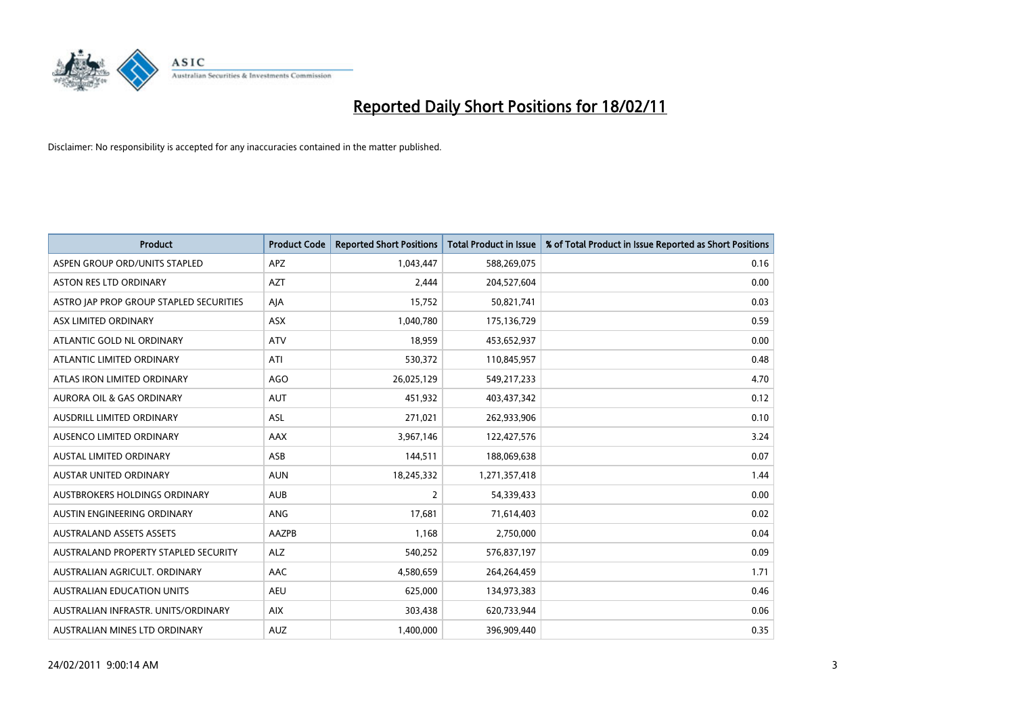

| Product                                 | <b>Product Code</b> | <b>Reported Short Positions</b> | <b>Total Product in Issue</b> | % of Total Product in Issue Reported as Short Positions |
|-----------------------------------------|---------------------|---------------------------------|-------------------------------|---------------------------------------------------------|
| ASPEN GROUP ORD/UNITS STAPLED           | <b>APZ</b>          | 1,043,447                       | 588,269,075                   | 0.16                                                    |
| <b>ASTON RES LTD ORDINARY</b>           | <b>AZT</b>          | 2,444                           | 204,527,604                   | 0.00                                                    |
| ASTRO JAP PROP GROUP STAPLED SECURITIES | AJA                 | 15,752                          | 50,821,741                    | 0.03                                                    |
| ASX LIMITED ORDINARY                    | ASX                 | 1,040,780                       | 175,136,729                   | 0.59                                                    |
| ATLANTIC GOLD NL ORDINARY               | <b>ATV</b>          | 18,959                          | 453,652,937                   | 0.00                                                    |
| ATLANTIC LIMITED ORDINARY               | ATI                 | 530,372                         | 110,845,957                   | 0.48                                                    |
| ATLAS IRON LIMITED ORDINARY             | AGO                 | 26,025,129                      | 549,217,233                   | 4.70                                                    |
| <b>AURORA OIL &amp; GAS ORDINARY</b>    | <b>AUT</b>          | 451,932                         | 403,437,342                   | 0.12                                                    |
| AUSDRILL LIMITED ORDINARY               | ASL                 | 271,021                         | 262,933,906                   | 0.10                                                    |
| AUSENCO LIMITED ORDINARY                | AAX                 | 3,967,146                       | 122,427,576                   | 3.24                                                    |
| AUSTAL LIMITED ORDINARY                 | ASB                 | 144,511                         | 188,069,638                   | 0.07                                                    |
| <b>AUSTAR UNITED ORDINARY</b>           | <b>AUN</b>          | 18,245,332                      | 1,271,357,418                 | 1.44                                                    |
| AUSTBROKERS HOLDINGS ORDINARY           | <b>AUB</b>          | 2                               | 54,339,433                    | 0.00                                                    |
| AUSTIN ENGINEERING ORDINARY             | <b>ANG</b>          | 17.681                          | 71,614,403                    | 0.02                                                    |
| <b>AUSTRALAND ASSETS ASSETS</b>         | <b>AAZPB</b>        | 1,168                           | 2,750,000                     | 0.04                                                    |
| AUSTRALAND PROPERTY STAPLED SECURITY    | <b>ALZ</b>          | 540,252                         | 576,837,197                   | 0.09                                                    |
| AUSTRALIAN AGRICULT, ORDINARY           | AAC                 | 4,580,659                       | 264,264,459                   | 1.71                                                    |
| AUSTRALIAN EDUCATION UNITS              | <b>AEU</b>          | 625,000                         | 134,973,383                   | 0.46                                                    |
| AUSTRALIAN INFRASTR. UNITS/ORDINARY     | <b>AIX</b>          | 303,438                         | 620,733,944                   | 0.06                                                    |
| AUSTRALIAN MINES LTD ORDINARY           | <b>AUZ</b>          | 1,400,000                       | 396,909,440                   | 0.35                                                    |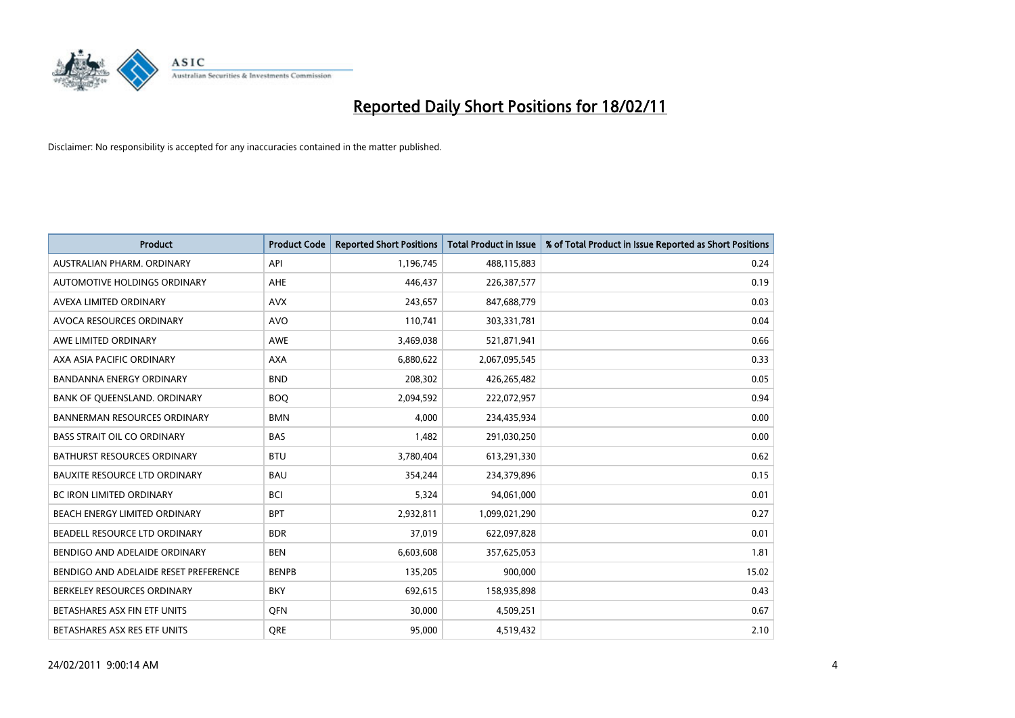

| <b>Product</b>                        | <b>Product Code</b> | <b>Reported Short Positions</b> | <b>Total Product in Issue</b> | % of Total Product in Issue Reported as Short Positions |
|---------------------------------------|---------------------|---------------------------------|-------------------------------|---------------------------------------------------------|
| AUSTRALIAN PHARM, ORDINARY            | API                 | 1,196,745                       | 488,115,883                   | 0.24                                                    |
| AUTOMOTIVE HOLDINGS ORDINARY          | <b>AHE</b>          | 446,437                         | 226,387,577                   | 0.19                                                    |
| AVEXA LIMITED ORDINARY                | <b>AVX</b>          | 243,657                         | 847,688,779                   | 0.03                                                    |
| AVOCA RESOURCES ORDINARY              | <b>AVO</b>          | 110,741                         | 303,331,781                   | 0.04                                                    |
| AWE LIMITED ORDINARY                  | <b>AWE</b>          | 3,469,038                       | 521,871,941                   | 0.66                                                    |
| AXA ASIA PACIFIC ORDINARY             | <b>AXA</b>          | 6,880,622                       | 2,067,095,545                 | 0.33                                                    |
| <b>BANDANNA ENERGY ORDINARY</b>       | <b>BND</b>          | 208,302                         | 426,265,482                   | 0.05                                                    |
| BANK OF QUEENSLAND. ORDINARY          | <b>BOO</b>          | 2,094,592                       | 222,072,957                   | 0.94                                                    |
| <b>BANNERMAN RESOURCES ORDINARY</b>   | <b>BMN</b>          | 4.000                           | 234,435,934                   | 0.00                                                    |
| <b>BASS STRAIT OIL CO ORDINARY</b>    | <b>BAS</b>          | 1,482                           | 291,030,250                   | 0.00                                                    |
| BATHURST RESOURCES ORDINARY           | <b>BTU</b>          | 3,780,404                       | 613,291,330                   | 0.62                                                    |
| <b>BAUXITE RESOURCE LTD ORDINARY</b>  | <b>BAU</b>          | 354,244                         | 234,379,896                   | 0.15                                                    |
| <b>BC IRON LIMITED ORDINARY</b>       | <b>BCI</b>          | 5,324                           | 94,061,000                    | 0.01                                                    |
| BEACH ENERGY LIMITED ORDINARY         | <b>BPT</b>          | 2,932,811                       | 1,099,021,290                 | 0.27                                                    |
| BEADELL RESOURCE LTD ORDINARY         | <b>BDR</b>          | 37,019                          | 622,097,828                   | 0.01                                                    |
| BENDIGO AND ADELAIDE ORDINARY         | <b>BEN</b>          | 6,603,608                       | 357,625,053                   | 1.81                                                    |
| BENDIGO AND ADELAIDE RESET PREFERENCE | <b>BENPB</b>        | 135,205                         | 900,000                       | 15.02                                                   |
| BERKELEY RESOURCES ORDINARY           | <b>BKY</b>          | 692,615                         | 158,935,898                   | 0.43                                                    |
| BETASHARES ASX FIN ETF UNITS          | <b>OFN</b>          | 30,000                          | 4,509,251                     | 0.67                                                    |
| BETASHARES ASX RES ETF UNITS          | <b>ORE</b>          | 95,000                          | 4,519,432                     | 2.10                                                    |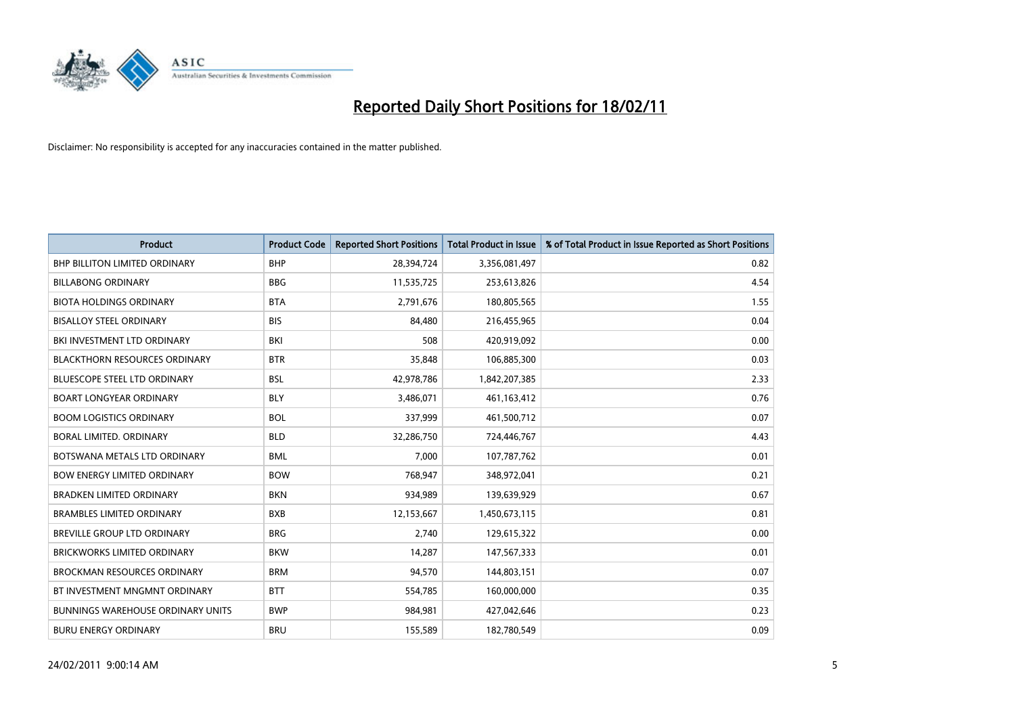

| <b>Product</b>                           | <b>Product Code</b> | <b>Reported Short Positions</b> | <b>Total Product in Issue</b> | % of Total Product in Issue Reported as Short Positions |
|------------------------------------------|---------------------|---------------------------------|-------------------------------|---------------------------------------------------------|
| <b>BHP BILLITON LIMITED ORDINARY</b>     | <b>BHP</b>          | 28,394,724                      | 3,356,081,497                 | 0.82                                                    |
| <b>BILLABONG ORDINARY</b>                | <b>BBG</b>          | 11,535,725                      | 253,613,826                   | 4.54                                                    |
| <b>BIOTA HOLDINGS ORDINARY</b>           | <b>BTA</b>          | 2,791,676                       | 180,805,565                   | 1.55                                                    |
| <b>BISALLOY STEEL ORDINARY</b>           | <b>BIS</b>          | 84,480                          | 216,455,965                   | 0.04                                                    |
| BKI INVESTMENT LTD ORDINARY              | BKI                 | 508                             | 420,919,092                   | 0.00                                                    |
| <b>BLACKTHORN RESOURCES ORDINARY</b>     | <b>BTR</b>          | 35,848                          | 106,885,300                   | 0.03                                                    |
| <b>BLUESCOPE STEEL LTD ORDINARY</b>      | <b>BSL</b>          | 42,978,786                      | 1,842,207,385                 | 2.33                                                    |
| <b>BOART LONGYEAR ORDINARY</b>           | <b>BLY</b>          | 3,486,071                       | 461,163,412                   | 0.76                                                    |
| <b>BOOM LOGISTICS ORDINARY</b>           | <b>BOL</b>          | 337,999                         | 461,500,712                   | 0.07                                                    |
| <b>BORAL LIMITED, ORDINARY</b>           | <b>BLD</b>          | 32,286,750                      | 724,446,767                   | 4.43                                                    |
| BOTSWANA METALS LTD ORDINARY             | <b>BML</b>          | 7,000                           | 107,787,762                   | 0.01                                                    |
| <b>BOW ENERGY LIMITED ORDINARY</b>       | <b>BOW</b>          | 768.947                         | 348,972,041                   | 0.21                                                    |
| <b>BRADKEN LIMITED ORDINARY</b>          | <b>BKN</b>          | 934,989                         | 139,639,929                   | 0.67                                                    |
| <b>BRAMBLES LIMITED ORDINARY</b>         | <b>BXB</b>          | 12,153,667                      | 1,450,673,115                 | 0.81                                                    |
| <b>BREVILLE GROUP LTD ORDINARY</b>       | <b>BRG</b>          | 2,740                           | 129,615,322                   | 0.00                                                    |
| BRICKWORKS LIMITED ORDINARY              | <b>BKW</b>          | 14,287                          | 147,567,333                   | 0.01                                                    |
| <b>BROCKMAN RESOURCES ORDINARY</b>       | <b>BRM</b>          | 94,570                          | 144,803,151                   | 0.07                                                    |
| BT INVESTMENT MNGMNT ORDINARY            | <b>BTT</b>          | 554,785                         | 160,000,000                   | 0.35                                                    |
| <b>BUNNINGS WAREHOUSE ORDINARY UNITS</b> | <b>BWP</b>          | 984,981                         | 427,042,646                   | 0.23                                                    |
| <b>BURU ENERGY ORDINARY</b>              | <b>BRU</b>          | 155,589                         | 182,780,549                   | 0.09                                                    |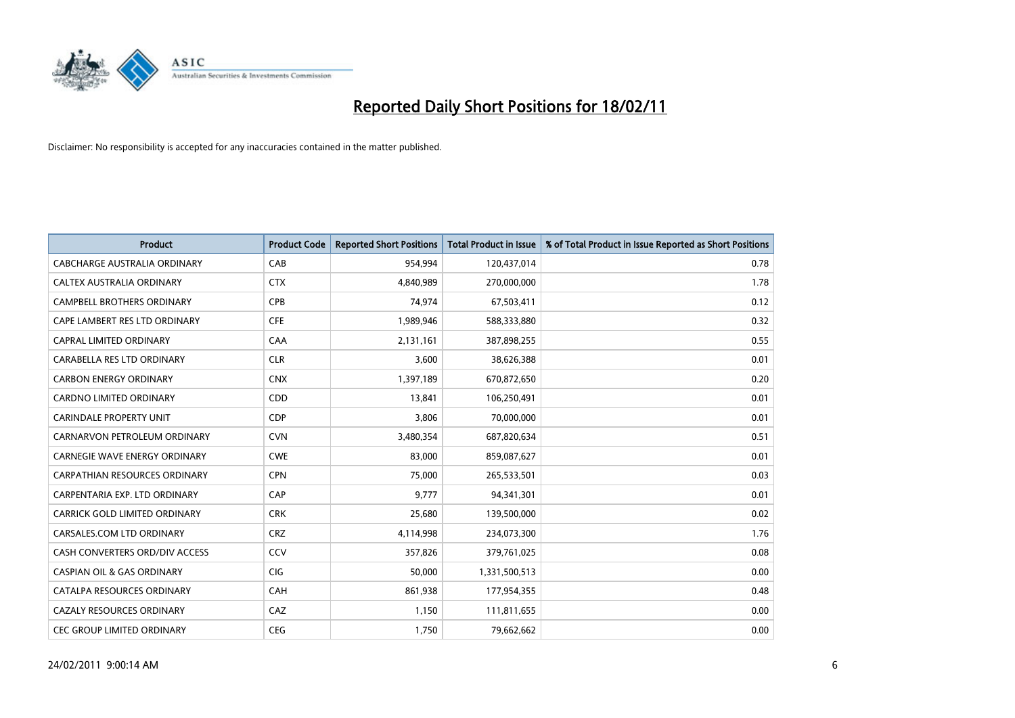

| <b>Product</b>                        | <b>Product Code</b> | <b>Reported Short Positions</b> | <b>Total Product in Issue</b> | % of Total Product in Issue Reported as Short Positions |
|---------------------------------------|---------------------|---------------------------------|-------------------------------|---------------------------------------------------------|
| <b>CABCHARGE AUSTRALIA ORDINARY</b>   | CAB                 | 954,994                         | 120,437,014                   | 0.78                                                    |
| CALTEX AUSTRALIA ORDINARY             | <b>CTX</b>          | 4,840,989                       | 270,000,000                   | 1.78                                                    |
| <b>CAMPBELL BROTHERS ORDINARY</b>     | CPB                 | 74,974                          | 67,503,411                    | 0.12                                                    |
| CAPE LAMBERT RES LTD ORDINARY         | <b>CFE</b>          | 1,989,946                       | 588,333,880                   | 0.32                                                    |
| CAPRAL LIMITED ORDINARY               | CAA                 | 2,131,161                       | 387,898,255                   | 0.55                                                    |
| CARABELLA RES LTD ORDINARY            | <b>CLR</b>          | 3,600                           | 38,626,388                    | 0.01                                                    |
| <b>CARBON ENERGY ORDINARY</b>         | <b>CNX</b>          | 1,397,189                       | 670,872,650                   | 0.20                                                    |
| CARDNO LIMITED ORDINARY               | CDD                 | 13,841                          | 106,250,491                   | 0.01                                                    |
| <b>CARINDALE PROPERTY UNIT</b>        | <b>CDP</b>          | 3,806                           | 70,000,000                    | 0.01                                                    |
| CARNARVON PETROLEUM ORDINARY          | <b>CVN</b>          | 3,480,354                       | 687,820,634                   | 0.51                                                    |
| <b>CARNEGIE WAVE ENERGY ORDINARY</b>  | <b>CWE</b>          | 83,000                          | 859,087,627                   | 0.01                                                    |
| CARPATHIAN RESOURCES ORDINARY         | <b>CPN</b>          | 75,000                          | 265,533,501                   | 0.03                                                    |
| CARPENTARIA EXP. LTD ORDINARY         | CAP                 | 9,777                           | 94,341,301                    | 0.01                                                    |
| CARRICK GOLD LIMITED ORDINARY         | <b>CRK</b>          | 25,680                          | 139,500,000                   | 0.02                                                    |
| CARSALES.COM LTD ORDINARY             | <b>CRZ</b>          | 4,114,998                       | 234,073,300                   | 1.76                                                    |
| CASH CONVERTERS ORD/DIV ACCESS        | CCV                 | 357,826                         | 379,761,025                   | 0.08                                                    |
| <b>CASPIAN OIL &amp; GAS ORDINARY</b> | <b>CIG</b>          | 50,000                          | 1,331,500,513                 | 0.00                                                    |
| CATALPA RESOURCES ORDINARY            | CAH                 | 861,938                         | 177,954,355                   | 0.48                                                    |
| CAZALY RESOURCES ORDINARY             | CAZ                 | 1,150                           | 111,811,655                   | 0.00                                                    |
| CEC GROUP LIMITED ORDINARY            | <b>CEG</b>          | 1,750                           | 79,662,662                    | 0.00                                                    |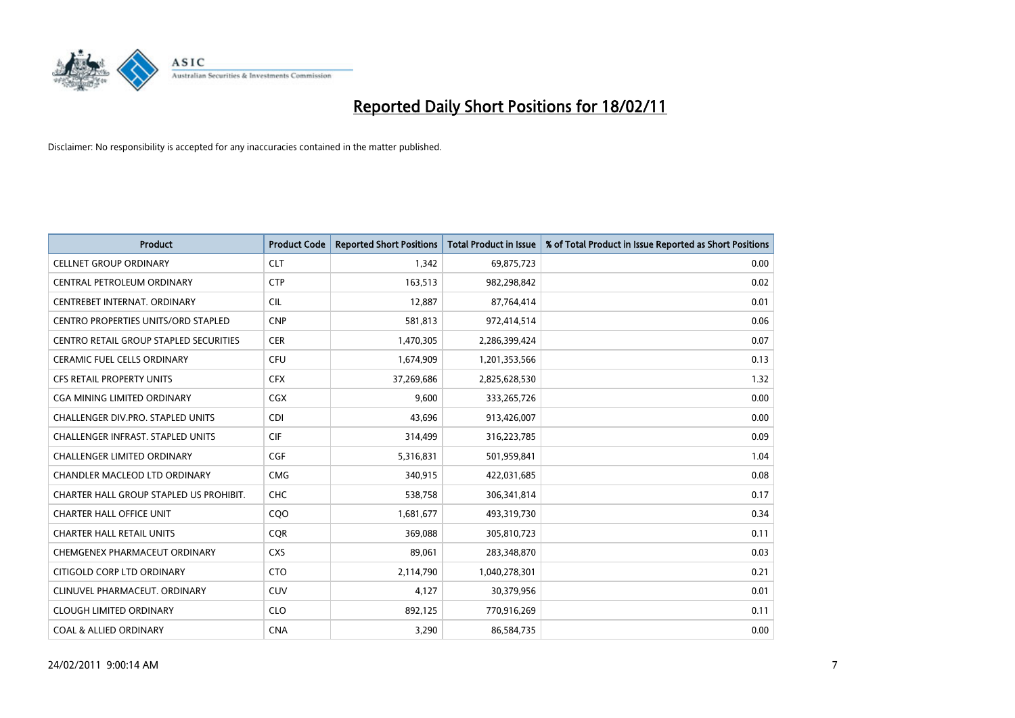

| <b>Product</b>                                | <b>Product Code</b> | <b>Reported Short Positions</b> | <b>Total Product in Issue</b> | % of Total Product in Issue Reported as Short Positions |
|-----------------------------------------------|---------------------|---------------------------------|-------------------------------|---------------------------------------------------------|
| <b>CELLNET GROUP ORDINARY</b>                 | <b>CLT</b>          | 1,342                           | 69,875,723                    | 0.00                                                    |
| CENTRAL PETROLEUM ORDINARY                    | <b>CTP</b>          | 163,513                         | 982,298,842                   | 0.02                                                    |
| CENTREBET INTERNAT, ORDINARY                  | <b>CIL</b>          | 12,887                          | 87,764,414                    | 0.01                                                    |
| CENTRO PROPERTIES UNITS/ORD STAPLED           | <b>CNP</b>          | 581,813                         | 972,414,514                   | 0.06                                                    |
| <b>CENTRO RETAIL GROUP STAPLED SECURITIES</b> | <b>CER</b>          | 1,470,305                       | 2,286,399,424                 | 0.07                                                    |
| <b>CERAMIC FUEL CELLS ORDINARY</b>            | <b>CFU</b>          | 1,674,909                       | 1,201,353,566                 | 0.13                                                    |
| CFS RETAIL PROPERTY UNITS                     | <b>CFX</b>          | 37,269,686                      | 2,825,628,530                 | 1.32                                                    |
| <b>CGA MINING LIMITED ORDINARY</b>            | <b>CGX</b>          | 9,600                           | 333,265,726                   | 0.00                                                    |
| CHALLENGER DIV.PRO. STAPLED UNITS             | <b>CDI</b>          | 43,696                          | 913,426,007                   | 0.00                                                    |
| <b>CHALLENGER INFRAST, STAPLED UNITS</b>      | <b>CIF</b>          | 314,499                         | 316,223,785                   | 0.09                                                    |
| <b>CHALLENGER LIMITED ORDINARY</b>            | <b>CGF</b>          | 5,316,831                       | 501,959,841                   | 1.04                                                    |
| <b>CHANDLER MACLEOD LTD ORDINARY</b>          | <b>CMG</b>          | 340,915                         | 422,031,685                   | 0.08                                                    |
| CHARTER HALL GROUP STAPLED US PROHIBIT.       | CHC                 | 538,758                         | 306,341,814                   | 0.17                                                    |
| <b>CHARTER HALL OFFICE UNIT</b>               | COO                 | 1,681,677                       | 493,319,730                   | 0.34                                                    |
| <b>CHARTER HALL RETAIL UNITS</b>              | <b>COR</b>          | 369,088                         | 305,810,723                   | 0.11                                                    |
| CHEMGENEX PHARMACEUT ORDINARY                 | <b>CXS</b>          | 89,061                          | 283,348,870                   | 0.03                                                    |
| CITIGOLD CORP LTD ORDINARY                    | <b>CTO</b>          | 2,114,790                       | 1,040,278,301                 | 0.21                                                    |
| CLINUVEL PHARMACEUT. ORDINARY                 | <b>CUV</b>          | 4,127                           | 30,379,956                    | 0.01                                                    |
| <b>CLOUGH LIMITED ORDINARY</b>                | <b>CLO</b>          | 892,125                         | 770,916,269                   | 0.11                                                    |
| <b>COAL &amp; ALLIED ORDINARY</b>             | <b>CNA</b>          | 3,290                           | 86,584,735                    | 0.00                                                    |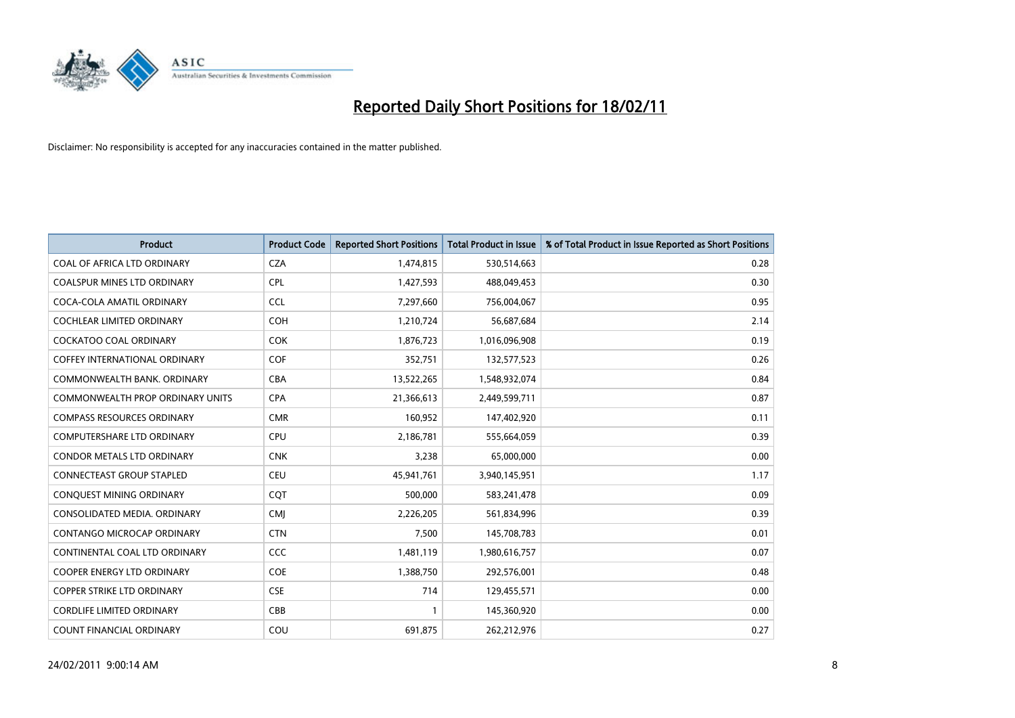

| <b>Product</b>                          | <b>Product Code</b> | <b>Reported Short Positions</b> | Total Product in Issue | % of Total Product in Issue Reported as Short Positions |
|-----------------------------------------|---------------------|---------------------------------|------------------------|---------------------------------------------------------|
| COAL OF AFRICA LTD ORDINARY             | <b>CZA</b>          | 1,474,815                       | 530,514,663            | 0.28                                                    |
| <b>COALSPUR MINES LTD ORDINARY</b>      | <b>CPL</b>          | 1,427,593                       | 488,049,453            | 0.30                                                    |
| COCA-COLA AMATIL ORDINARY               | <b>CCL</b>          | 7,297,660                       | 756,004,067            | 0.95                                                    |
| COCHLEAR LIMITED ORDINARY               | <b>COH</b>          | 1,210,724                       | 56,687,684             | 2.14                                                    |
| <b>COCKATOO COAL ORDINARY</b>           | <b>COK</b>          | 1,876,723                       | 1,016,096,908          | 0.19                                                    |
| <b>COFFEY INTERNATIONAL ORDINARY</b>    | <b>COF</b>          | 352,751                         | 132,577,523            | 0.26                                                    |
| COMMONWEALTH BANK, ORDINARY             | <b>CBA</b>          | 13,522,265                      | 1,548,932,074          | 0.84                                                    |
| <b>COMMONWEALTH PROP ORDINARY UNITS</b> | <b>CPA</b>          | 21,366,613                      | 2,449,599,711          | 0.87                                                    |
| <b>COMPASS RESOURCES ORDINARY</b>       | <b>CMR</b>          | 160,952                         | 147,402,920            | 0.11                                                    |
| <b>COMPUTERSHARE LTD ORDINARY</b>       | <b>CPU</b>          | 2,186,781                       | 555,664,059            | 0.39                                                    |
| <b>CONDOR METALS LTD ORDINARY</b>       | <b>CNK</b>          | 3,238                           | 65,000,000             | 0.00                                                    |
| CONNECTEAST GROUP STAPLED               | <b>CEU</b>          | 45,941,761                      | 3,940,145,951          | 1.17                                                    |
| CONQUEST MINING ORDINARY                | COT                 | 500,000                         | 583,241,478            | 0.09                                                    |
| CONSOLIDATED MEDIA, ORDINARY            | <b>CMI</b>          | 2,226,205                       | 561,834,996            | 0.39                                                    |
| CONTANGO MICROCAP ORDINARY              | <b>CTN</b>          | 7,500                           | 145,708,783            | 0.01                                                    |
| CONTINENTAL COAL LTD ORDINARY           | <b>CCC</b>          | 1,481,119                       | 1,980,616,757          | 0.07                                                    |
| <b>COOPER ENERGY LTD ORDINARY</b>       | <b>COE</b>          | 1,388,750                       | 292,576,001            | 0.48                                                    |
| COPPER STRIKE LTD ORDINARY              | <b>CSE</b>          | 714                             | 129,455,571            | 0.00                                                    |
| <b>CORDLIFE LIMITED ORDINARY</b>        | CBB                 |                                 | 145,360,920            | 0.00                                                    |
| <b>COUNT FINANCIAL ORDINARY</b>         | COU                 | 691,875                         | 262,212,976            | 0.27                                                    |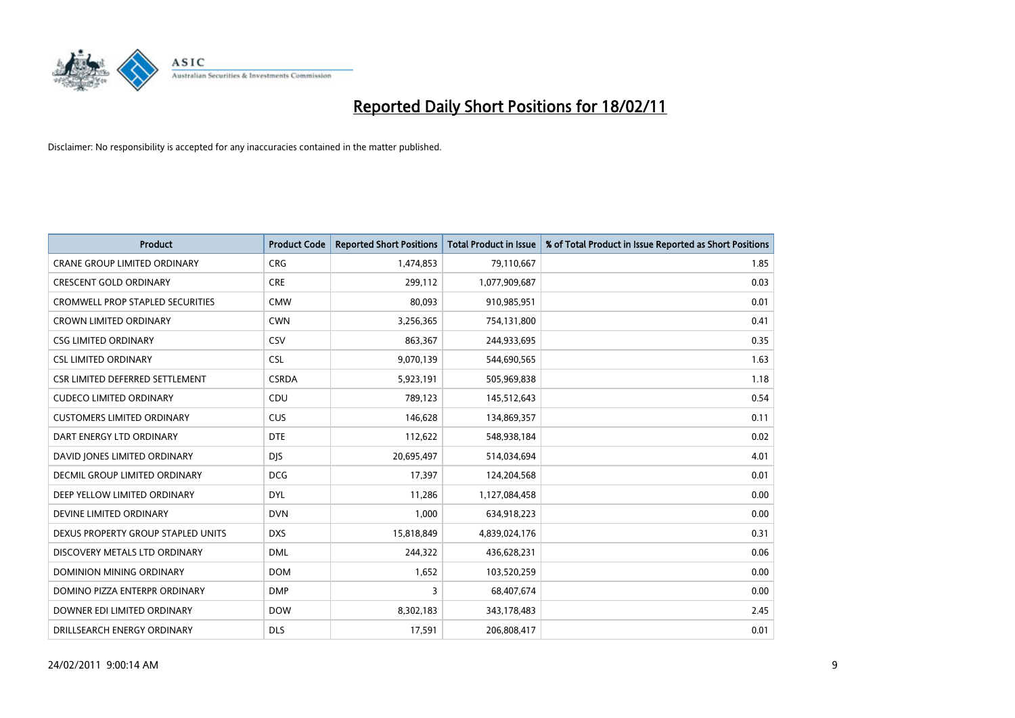

| <b>Product</b>                          | <b>Product Code</b> | <b>Reported Short Positions</b> | <b>Total Product in Issue</b> | % of Total Product in Issue Reported as Short Positions |
|-----------------------------------------|---------------------|---------------------------------|-------------------------------|---------------------------------------------------------|
| <b>CRANE GROUP LIMITED ORDINARY</b>     | <b>CRG</b>          | 1,474,853                       | 79,110,667                    | 1.85                                                    |
| <b>CRESCENT GOLD ORDINARY</b>           | <b>CRE</b>          | 299,112                         | 1,077,909,687                 | 0.03                                                    |
| <b>CROMWELL PROP STAPLED SECURITIES</b> | <b>CMW</b>          | 80,093                          | 910,985,951                   | 0.01                                                    |
| <b>CROWN LIMITED ORDINARY</b>           | <b>CWN</b>          | 3,256,365                       | 754,131,800                   | 0.41                                                    |
| <b>CSG LIMITED ORDINARY</b>             | CSV                 | 863,367                         | 244,933,695                   | 0.35                                                    |
| <b>CSL LIMITED ORDINARY</b>             | <b>CSL</b>          | 9,070,139                       | 544,690,565                   | 1.63                                                    |
| CSR LIMITED DEFERRED SETTLEMENT         | <b>CSRDA</b>        | 5,923,191                       | 505,969,838                   | 1.18                                                    |
| <b>CUDECO LIMITED ORDINARY</b>          | CDU                 | 789,123                         | 145,512,643                   | 0.54                                                    |
| <b>CUSTOMERS LIMITED ORDINARY</b>       | <b>CUS</b>          | 146,628                         | 134,869,357                   | 0.11                                                    |
| DART ENERGY LTD ORDINARY                | <b>DTE</b>          | 112,622                         | 548,938,184                   | 0.02                                                    |
| DAVID JONES LIMITED ORDINARY            | <b>DJS</b>          | 20,695,497                      | 514,034,694                   | 4.01                                                    |
| <b>DECMIL GROUP LIMITED ORDINARY</b>    | <b>DCG</b>          | 17,397                          | 124,204,568                   | 0.01                                                    |
| DEEP YELLOW LIMITED ORDINARY            | <b>DYL</b>          | 11,286                          | 1,127,084,458                 | 0.00                                                    |
| DEVINE LIMITED ORDINARY                 | <b>DVN</b>          | 1,000                           | 634,918,223                   | 0.00                                                    |
| DEXUS PROPERTY GROUP STAPLED UNITS      | <b>DXS</b>          | 15,818,849                      | 4,839,024,176                 | 0.31                                                    |
| DISCOVERY METALS LTD ORDINARY           | <b>DML</b>          | 244,322                         | 436,628,231                   | 0.06                                                    |
| DOMINION MINING ORDINARY                | <b>DOM</b>          | 1,652                           | 103,520,259                   | 0.00                                                    |
| DOMINO PIZZA ENTERPR ORDINARY           | <b>DMP</b>          | 3                               | 68,407,674                    | 0.00                                                    |
| DOWNER EDI LIMITED ORDINARY             | <b>DOW</b>          | 8,302,183                       | 343,178,483                   | 2.45                                                    |
| DRILLSEARCH ENERGY ORDINARY             | <b>DLS</b>          | 17,591                          | 206,808,417                   | 0.01                                                    |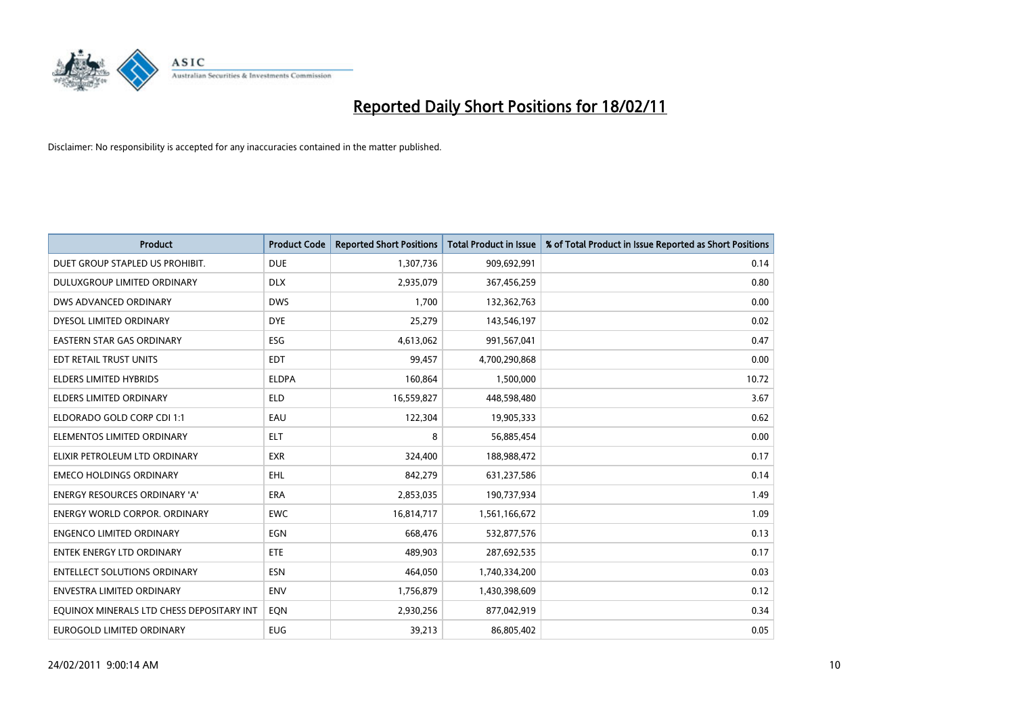

| Product                                   | <b>Product Code</b> | <b>Reported Short Positions</b> | <b>Total Product in Issue</b> | % of Total Product in Issue Reported as Short Positions |
|-------------------------------------------|---------------------|---------------------------------|-------------------------------|---------------------------------------------------------|
| DUET GROUP STAPLED US PROHIBIT.           | <b>DUE</b>          | 1,307,736                       | 909,692,991                   | 0.14                                                    |
| <b>DULUXGROUP LIMITED ORDINARY</b>        | <b>DLX</b>          | 2,935,079                       | 367,456,259                   | 0.80                                                    |
| DWS ADVANCED ORDINARY                     | <b>DWS</b>          | 1,700                           | 132,362,763                   | 0.00                                                    |
| DYESOL LIMITED ORDINARY                   | <b>DYE</b>          | 25,279                          | 143,546,197                   | 0.02                                                    |
| <b>EASTERN STAR GAS ORDINARY</b>          | ESG                 | 4,613,062                       | 991,567,041                   | 0.47                                                    |
| EDT RETAIL TRUST UNITS                    | <b>EDT</b>          | 99,457                          | 4,700,290,868                 | 0.00                                                    |
| <b>ELDERS LIMITED HYBRIDS</b>             | <b>ELDPA</b>        | 160,864                         | 1,500,000                     | 10.72                                                   |
| <b>ELDERS LIMITED ORDINARY</b>            | <b>ELD</b>          | 16,559,827                      | 448,598,480                   | 3.67                                                    |
| ELDORADO GOLD CORP CDI 1:1                | EAU                 | 122,304                         | 19,905,333                    | 0.62                                                    |
| ELEMENTOS LIMITED ORDINARY                | <b>ELT</b>          | 8                               | 56,885,454                    | 0.00                                                    |
| ELIXIR PETROLEUM LTD ORDINARY             | <b>EXR</b>          | 324,400                         | 188,988,472                   | 0.17                                                    |
| <b>EMECO HOLDINGS ORDINARY</b>            | <b>EHL</b>          | 842,279                         | 631,237,586                   | 0.14                                                    |
| <b>ENERGY RESOURCES ORDINARY 'A'</b>      | <b>ERA</b>          | 2,853,035                       | 190,737,934                   | 1.49                                                    |
| <b>ENERGY WORLD CORPOR, ORDINARY</b>      | <b>EWC</b>          | 16,814,717                      | 1,561,166,672                 | 1.09                                                    |
| <b>ENGENCO LIMITED ORDINARY</b>           | <b>EGN</b>          | 668,476                         | 532,877,576                   | 0.13                                                    |
| <b>ENTEK ENERGY LTD ORDINARY</b>          | <b>ETE</b>          | 489,903                         | 287,692,535                   | 0.17                                                    |
| <b>ENTELLECT SOLUTIONS ORDINARY</b>       | <b>ESN</b>          | 464,050                         | 1,740,334,200                 | 0.03                                                    |
| ENVESTRA LIMITED ORDINARY                 | <b>ENV</b>          | 1,756,879                       | 1,430,398,609                 | 0.12                                                    |
| EOUINOX MINERALS LTD CHESS DEPOSITARY INT | EQN                 | 2,930,256                       | 877,042,919                   | 0.34                                                    |
| EUROGOLD LIMITED ORDINARY                 | <b>EUG</b>          | 39,213                          | 86,805,402                    | 0.05                                                    |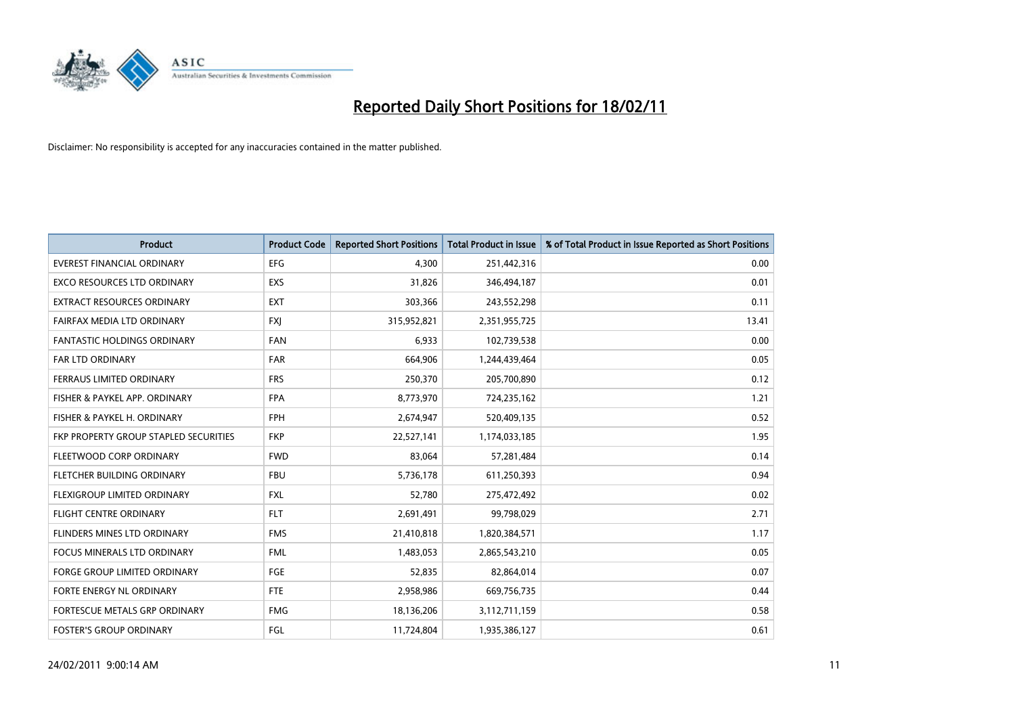

| Product                               | <b>Product Code</b> | <b>Reported Short Positions</b> | Total Product in Issue | % of Total Product in Issue Reported as Short Positions |
|---------------------------------------|---------------------|---------------------------------|------------------------|---------------------------------------------------------|
| <b>EVEREST FINANCIAL ORDINARY</b>     | <b>EFG</b>          | 4,300                           | 251,442,316            | 0.00                                                    |
| <b>EXCO RESOURCES LTD ORDINARY</b>    | EXS                 | 31,826                          | 346,494,187            | 0.01                                                    |
| EXTRACT RESOURCES ORDINARY            | <b>EXT</b>          | 303,366                         | 243,552,298            | 0.11                                                    |
| FAIRFAX MEDIA LTD ORDINARY            | <b>FXI</b>          | 315,952,821                     | 2,351,955,725          | 13.41                                                   |
| <b>FANTASTIC HOLDINGS ORDINARY</b>    | <b>FAN</b>          | 6,933                           | 102,739,538            | 0.00                                                    |
| FAR LTD ORDINARY                      | <b>FAR</b>          | 664,906                         | 1,244,439,464          | 0.05                                                    |
| FERRAUS LIMITED ORDINARY              | <b>FRS</b>          | 250,370                         | 205,700,890            | 0.12                                                    |
| FISHER & PAYKEL APP. ORDINARY         | <b>FPA</b>          | 8,773,970                       | 724,235,162            | 1.21                                                    |
| FISHER & PAYKEL H. ORDINARY           | <b>FPH</b>          | 2,674,947                       | 520,409,135            | 0.52                                                    |
| FKP PROPERTY GROUP STAPLED SECURITIES | <b>FKP</b>          | 22,527,141                      | 1,174,033,185          | 1.95                                                    |
| FLEETWOOD CORP ORDINARY               | <b>FWD</b>          | 83,064                          | 57,281,484             | 0.14                                                    |
| FLETCHER BUILDING ORDINARY            | <b>FBU</b>          | 5,736,178                       | 611,250,393            | 0.94                                                    |
| FLEXIGROUP LIMITED ORDINARY           | <b>FXL</b>          | 52,780                          | 275,472,492            | 0.02                                                    |
| <b>FLIGHT CENTRE ORDINARY</b>         | <b>FLT</b>          | 2,691,491                       | 99,798,029             | 2.71                                                    |
| FLINDERS MINES LTD ORDINARY           | <b>FMS</b>          | 21,410,818                      | 1,820,384,571          | 1.17                                                    |
| <b>FOCUS MINERALS LTD ORDINARY</b>    | <b>FML</b>          | 1,483,053                       | 2,865,543,210          | 0.05                                                    |
| <b>FORGE GROUP LIMITED ORDINARY</b>   | FGE                 | 52,835                          | 82,864,014             | 0.07                                                    |
| FORTE ENERGY NL ORDINARY              | FTE                 | 2,958,986                       | 669,756,735            | 0.44                                                    |
| FORTESCUE METALS GRP ORDINARY         | <b>FMG</b>          | 18,136,206                      | 3,112,711,159          | 0.58                                                    |
| <b>FOSTER'S GROUP ORDINARY</b>        | FGL                 | 11,724,804                      | 1,935,386,127          | 0.61                                                    |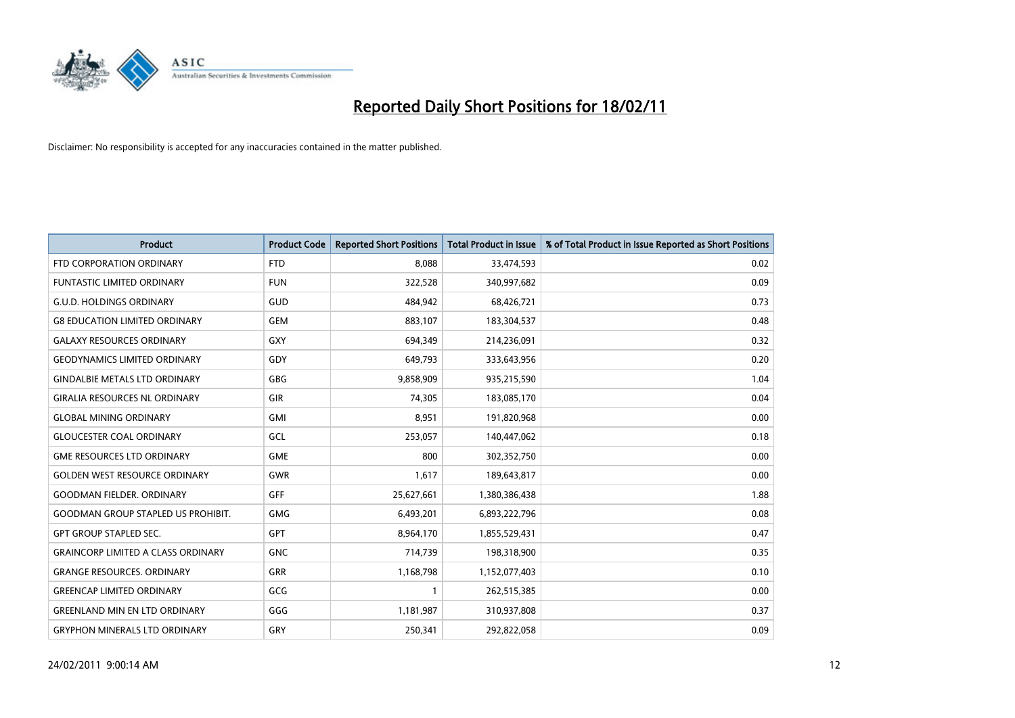

| <b>Product</b>                            | <b>Product Code</b> | <b>Reported Short Positions</b> | Total Product in Issue | % of Total Product in Issue Reported as Short Positions |
|-------------------------------------------|---------------------|---------------------------------|------------------------|---------------------------------------------------------|
| FTD CORPORATION ORDINARY                  | <b>FTD</b>          | 8,088                           | 33,474,593             | 0.02                                                    |
| <b>FUNTASTIC LIMITED ORDINARY</b>         | <b>FUN</b>          | 322,528                         | 340,997,682            | 0.09                                                    |
| <b>G.U.D. HOLDINGS ORDINARY</b>           | GUD                 | 484,942                         | 68,426,721             | 0.73                                                    |
| <b>G8 EDUCATION LIMITED ORDINARY</b>      | <b>GEM</b>          | 883,107                         | 183,304,537            | 0.48                                                    |
| <b>GALAXY RESOURCES ORDINARY</b>          | GXY                 | 694,349                         | 214,236,091            | 0.32                                                    |
| <b>GEODYNAMICS LIMITED ORDINARY</b>       | GDY                 | 649,793                         | 333,643,956            | 0.20                                                    |
| <b>GINDALBIE METALS LTD ORDINARY</b>      | <b>GBG</b>          | 9,858,909                       | 935,215,590            | 1.04                                                    |
| <b>GIRALIA RESOURCES NL ORDINARY</b>      | GIR                 | 74,305                          | 183,085,170            | 0.04                                                    |
| <b>GLOBAL MINING ORDINARY</b>             | <b>GMI</b>          | 8,951                           | 191,820,968            | 0.00                                                    |
| <b>GLOUCESTER COAL ORDINARY</b>           | GCL                 | 253,057                         | 140,447,062            | 0.18                                                    |
| <b>GME RESOURCES LTD ORDINARY</b>         | <b>GME</b>          | 800                             | 302,352,750            | 0.00                                                    |
| <b>GOLDEN WEST RESOURCE ORDINARY</b>      | <b>GWR</b>          | 1,617                           | 189,643,817            | 0.00                                                    |
| <b>GOODMAN FIELDER, ORDINARY</b>          | <b>GFF</b>          | 25,627,661                      | 1,380,386,438          | 1.88                                                    |
| <b>GOODMAN GROUP STAPLED US PROHIBIT.</b> | <b>GMG</b>          | 6,493,201                       | 6,893,222,796          | 0.08                                                    |
| <b>GPT GROUP STAPLED SEC.</b>             | GPT                 | 8,964,170                       | 1,855,529,431          | 0.47                                                    |
| <b>GRAINCORP LIMITED A CLASS ORDINARY</b> | <b>GNC</b>          | 714,739                         | 198,318,900            | 0.35                                                    |
| <b>GRANGE RESOURCES. ORDINARY</b>         | GRR                 | 1,168,798                       | 1,152,077,403          | 0.10                                                    |
| <b>GREENCAP LIMITED ORDINARY</b>          | GCG                 |                                 | 262,515,385            | 0.00                                                    |
| <b>GREENLAND MIN EN LTD ORDINARY</b>      | GGG                 | 1,181,987                       | 310,937,808            | 0.37                                                    |
| <b>GRYPHON MINERALS LTD ORDINARY</b>      | GRY                 | 250,341                         | 292,822,058            | 0.09                                                    |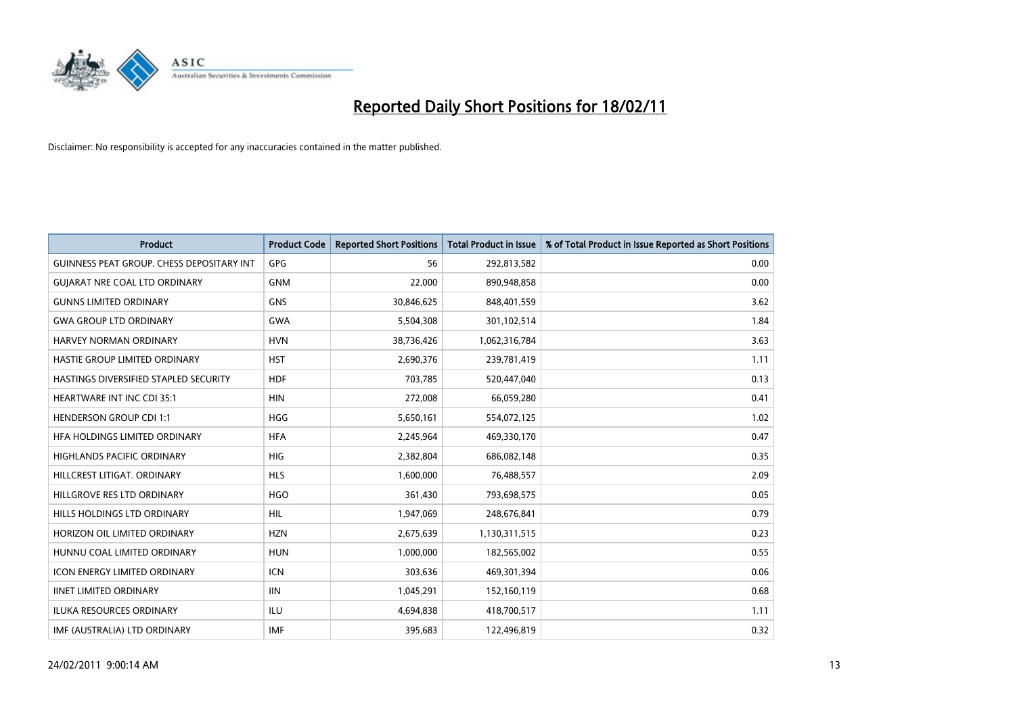

| Product                                          | <b>Product Code</b> | <b>Reported Short Positions</b> | <b>Total Product in Issue</b> | % of Total Product in Issue Reported as Short Positions |
|--------------------------------------------------|---------------------|---------------------------------|-------------------------------|---------------------------------------------------------|
| <b>GUINNESS PEAT GROUP. CHESS DEPOSITARY INT</b> | GPG                 | 56                              | 292,813,582                   | 0.00                                                    |
| <b>GUIARAT NRE COAL LTD ORDINARY</b>             | <b>GNM</b>          | 22,000                          | 890,948,858                   | 0.00                                                    |
| <b>GUNNS LIMITED ORDINARY</b>                    | <b>GNS</b>          | 30,846,625                      | 848,401,559                   | 3.62                                                    |
| <b>GWA GROUP LTD ORDINARY</b>                    | <b>GWA</b>          | 5,504,308                       | 301,102,514                   | 1.84                                                    |
| HARVEY NORMAN ORDINARY                           | <b>HVN</b>          | 38,736,426                      | 1,062,316,784                 | 3.63                                                    |
| HASTIE GROUP LIMITED ORDINARY                    | <b>HST</b>          | 2,690,376                       | 239,781,419                   | 1.11                                                    |
| HASTINGS DIVERSIFIED STAPLED SECURITY            | <b>HDF</b>          | 703.785                         | 520,447,040                   | 0.13                                                    |
| <b>HEARTWARE INT INC CDI 35:1</b>                | <b>HIN</b>          | 272,008                         | 66,059,280                    | 0.41                                                    |
| <b>HENDERSON GROUP CDI 1:1</b>                   | <b>HGG</b>          | 5,650,161                       | 554,072,125                   | 1.02                                                    |
| HFA HOLDINGS LIMITED ORDINARY                    | <b>HFA</b>          | 2,245,964                       | 469,330,170                   | 0.47                                                    |
| HIGHLANDS PACIFIC ORDINARY                       | <b>HIG</b>          | 2,382,804                       | 686,082,148                   | 0.35                                                    |
| HILLCREST LITIGAT, ORDINARY                      | <b>HLS</b>          | 1,600,000                       | 76,488,557                    | 2.09                                                    |
| HILLGROVE RES LTD ORDINARY                       | <b>HGO</b>          | 361,430                         | 793,698,575                   | 0.05                                                    |
| HILLS HOLDINGS LTD ORDINARY                      | <b>HIL</b>          | 1,947,069                       | 248,676,841                   | 0.79                                                    |
| HORIZON OIL LIMITED ORDINARY                     | <b>HZN</b>          | 2,675,639                       | 1,130,311,515                 | 0.23                                                    |
| HUNNU COAL LIMITED ORDINARY                      | <b>HUN</b>          | 1,000,000                       | 182,565,002                   | 0.55                                                    |
| <b>ICON ENERGY LIMITED ORDINARY</b>              | <b>ICN</b>          | 303,636                         | 469,301,394                   | 0.06                                                    |
| <b>IINET LIMITED ORDINARY</b>                    | <b>IIN</b>          | 1,045,291                       | 152,160,119                   | 0.68                                                    |
| <b>ILUKA RESOURCES ORDINARY</b>                  | ILU                 | 4,694,838                       | 418,700,517                   | 1.11                                                    |
| IMF (AUSTRALIA) LTD ORDINARY                     | <b>IMF</b>          | 395,683                         | 122,496,819                   | 0.32                                                    |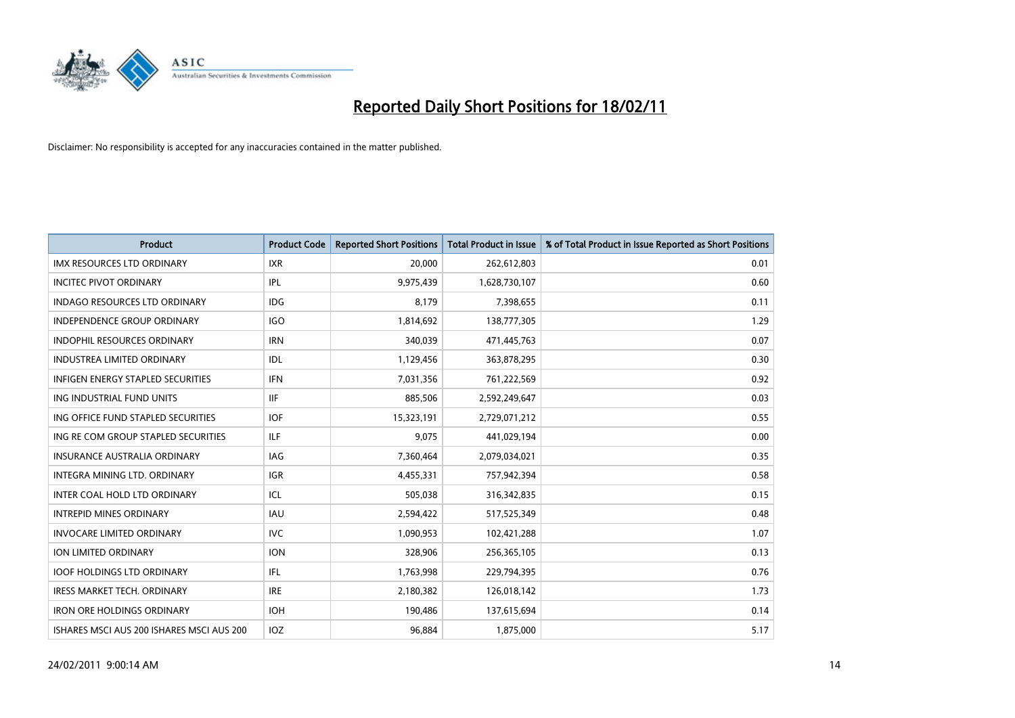

| Product                                   | <b>Product Code</b> | <b>Reported Short Positions</b> | <b>Total Product in Issue</b> | % of Total Product in Issue Reported as Short Positions |
|-------------------------------------------|---------------------|---------------------------------|-------------------------------|---------------------------------------------------------|
| <b>IMX RESOURCES LTD ORDINARY</b>         | <b>IXR</b>          | 20,000                          | 262,612,803                   | 0.01                                                    |
| <b>INCITEC PIVOT ORDINARY</b>             | <b>IPL</b>          | 9,975,439                       | 1,628,730,107                 | 0.60                                                    |
| <b>INDAGO RESOURCES LTD ORDINARY</b>      | <b>IDG</b>          | 8,179                           | 7,398,655                     | 0.11                                                    |
| INDEPENDENCE GROUP ORDINARY               | <b>IGO</b>          | 1,814,692                       | 138,777,305                   | 1.29                                                    |
| <b>INDOPHIL RESOURCES ORDINARY</b>        | <b>IRN</b>          | 340,039                         | 471,445,763                   | 0.07                                                    |
| <b>INDUSTREA LIMITED ORDINARY</b>         | IDL                 | 1,129,456                       | 363,878,295                   | 0.30                                                    |
| <b>INFIGEN ENERGY STAPLED SECURITIES</b>  | <b>IFN</b>          | 7,031,356                       | 761,222,569                   | 0.92                                                    |
| ING INDUSTRIAL FUND UNITS                 | <b>IIF</b>          | 885,506                         | 2,592,249,647                 | 0.03                                                    |
| ING OFFICE FUND STAPLED SECURITIES        | <b>IOF</b>          | 15,323,191                      | 2,729,071,212                 | 0.55                                                    |
| ING RE COM GROUP STAPLED SECURITIES       | <b>ILF</b>          | 9,075                           | 441,029,194                   | 0.00                                                    |
| <b>INSURANCE AUSTRALIA ORDINARY</b>       | IAG                 | 7,360,464                       | 2,079,034,021                 | 0.35                                                    |
| <b>INTEGRA MINING LTD, ORDINARY</b>       | IGR                 | 4,455,331                       | 757,942,394                   | 0.58                                                    |
| INTER COAL HOLD LTD ORDINARY              | ICL                 | 505,038                         | 316,342,835                   | 0.15                                                    |
| <b>INTREPID MINES ORDINARY</b>            | <b>IAU</b>          | 2,594,422                       | 517,525,349                   | 0.48                                                    |
| <b>INVOCARE LIMITED ORDINARY</b>          | <b>IVC</b>          | 1,090,953                       | 102,421,288                   | 1.07                                                    |
| ION LIMITED ORDINARY                      | <b>ION</b>          | 328,906                         | 256,365,105                   | 0.13                                                    |
| <b>IOOF HOLDINGS LTD ORDINARY</b>         | <b>IFL</b>          | 1,763,998                       | 229,794,395                   | 0.76                                                    |
| <b>IRESS MARKET TECH. ORDINARY</b>        | <b>IRE</b>          | 2,180,382                       | 126,018,142                   | 1.73                                                    |
| <b>IRON ORE HOLDINGS ORDINARY</b>         | <b>IOH</b>          | 190,486                         | 137,615,694                   | 0.14                                                    |
| ISHARES MSCI AUS 200 ISHARES MSCI AUS 200 | IOZ                 | 96,884                          | 1,875,000                     | 5.17                                                    |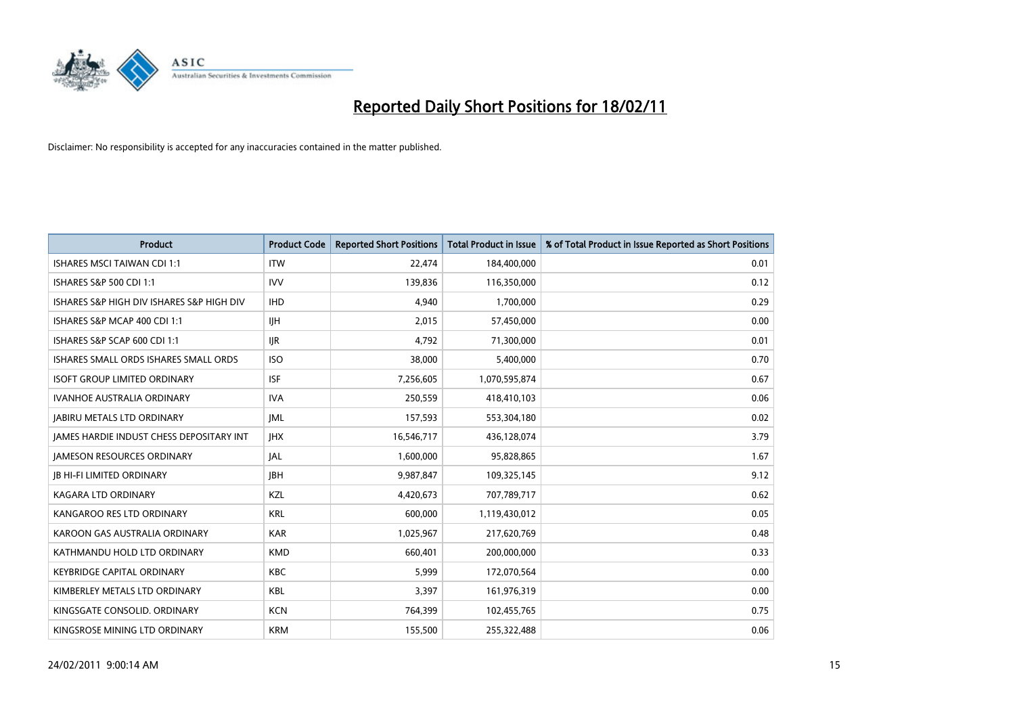

| <b>Product</b>                                  | <b>Product Code</b> | <b>Reported Short Positions</b> | Total Product in Issue | % of Total Product in Issue Reported as Short Positions |
|-------------------------------------------------|---------------------|---------------------------------|------------------------|---------------------------------------------------------|
| <b>ISHARES MSCI TAIWAN CDI 1:1</b>              | <b>ITW</b>          | 22,474                          | 184,400,000            | 0.01                                                    |
| ISHARES S&P 500 CDI 1:1                         | <b>IVV</b>          | 139.836                         | 116,350,000            | 0.12                                                    |
| ISHARES S&P HIGH DIV ISHARES S&P HIGH DIV       | <b>IHD</b>          | 4,940                           | 1,700,000              | 0.29                                                    |
| ISHARES S&P MCAP 400 CDI 1:1                    | <b>IJH</b>          | 2,015                           | 57,450,000             | 0.00                                                    |
| ISHARES S&P SCAP 600 CDI 1:1                    | <b>IJR</b>          | 4.792                           | 71,300,000             | 0.01                                                    |
| ISHARES SMALL ORDS ISHARES SMALL ORDS           | <b>ISO</b>          | 38,000                          | 5,400,000              | 0.70                                                    |
| <b>ISOFT GROUP LIMITED ORDINARY</b>             | <b>ISF</b>          | 7,256,605                       | 1,070,595,874          | 0.67                                                    |
| <b>IVANHOE AUSTRALIA ORDINARY</b>               | <b>IVA</b>          | 250,559                         | 418,410,103            | 0.06                                                    |
| <b>JABIRU METALS LTD ORDINARY</b>               | <b>JML</b>          | 157,593                         | 553,304,180            | 0.02                                                    |
| <b>IAMES HARDIE INDUST CHESS DEPOSITARY INT</b> | <b>IHX</b>          | 16,546,717                      | 436,128,074            | 3.79                                                    |
| <b>JAMESON RESOURCES ORDINARY</b>               | <b>JAL</b>          | 1,600,000                       | 95,828,865             | 1.67                                                    |
| <b>JB HI-FI LIMITED ORDINARY</b>                | <b>IBH</b>          | 9,987,847                       | 109,325,145            | 9.12                                                    |
| <b>KAGARA LTD ORDINARY</b>                      | KZL                 | 4.420.673                       | 707,789,717            | 0.62                                                    |
| KANGAROO RES LTD ORDINARY                       | <b>KRL</b>          | 600.000                         | 1,119,430,012          | 0.05                                                    |
| KAROON GAS AUSTRALIA ORDINARY                   | <b>KAR</b>          | 1,025,967                       | 217,620,769            | 0.48                                                    |
| KATHMANDU HOLD LTD ORDINARY                     | <b>KMD</b>          | 660.401                         | 200,000,000            | 0.33                                                    |
| <b>KEYBRIDGE CAPITAL ORDINARY</b>               | <b>KBC</b>          | 5,999                           | 172,070,564            | 0.00                                                    |
| KIMBERLEY METALS LTD ORDINARY                   | KBL                 | 3,397                           | 161,976,319            | 0.00                                                    |
| KINGSGATE CONSOLID. ORDINARY                    | <b>KCN</b>          | 764,399                         | 102,455,765            | 0.75                                                    |
| KINGSROSE MINING LTD ORDINARY                   | <b>KRM</b>          | 155,500                         | 255,322,488            | 0.06                                                    |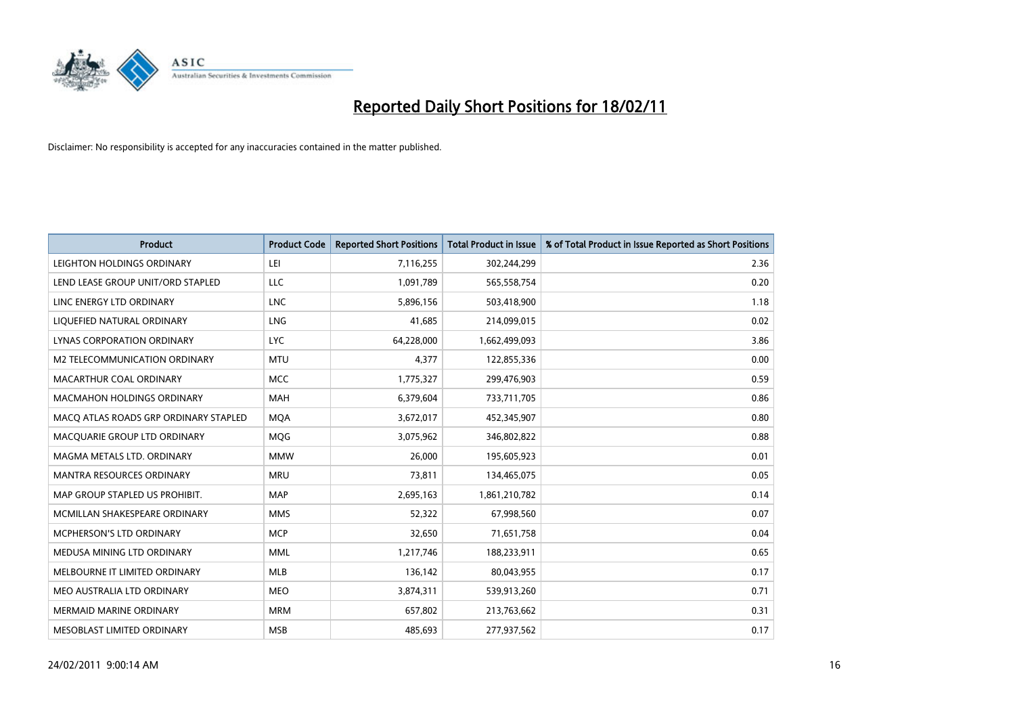

| <b>Product</b>                        | <b>Product Code</b> | <b>Reported Short Positions</b> | <b>Total Product in Issue</b> | % of Total Product in Issue Reported as Short Positions |
|---------------------------------------|---------------------|---------------------------------|-------------------------------|---------------------------------------------------------|
| LEIGHTON HOLDINGS ORDINARY            | LEI                 | 7,116,255                       | 302,244,299                   | 2.36                                                    |
| LEND LEASE GROUP UNIT/ORD STAPLED     | LLC                 | 1,091,789                       | 565,558,754                   | 0.20                                                    |
| LINC ENERGY LTD ORDINARY              | <b>LNC</b>          | 5,896,156                       | 503,418,900                   | 1.18                                                    |
| LIQUEFIED NATURAL ORDINARY            | <b>LNG</b>          | 41,685                          | 214,099,015                   | 0.02                                                    |
| LYNAS CORPORATION ORDINARY            | <b>LYC</b>          | 64,228,000                      | 1,662,499,093                 | 3.86                                                    |
| M2 TELECOMMUNICATION ORDINARY         | <b>MTU</b>          | 4,377                           | 122,855,336                   | 0.00                                                    |
| MACARTHUR COAL ORDINARY               | <b>MCC</b>          | 1,775,327                       | 299,476,903                   | 0.59                                                    |
| <b>MACMAHON HOLDINGS ORDINARY</b>     | <b>MAH</b>          | 6,379,604                       | 733,711,705                   | 0.86                                                    |
| MACO ATLAS ROADS GRP ORDINARY STAPLED | <b>MOA</b>          | 3,672,017                       | 452,345,907                   | 0.80                                                    |
| MACOUARIE GROUP LTD ORDINARY          | MQG                 | 3,075,962                       | 346,802,822                   | 0.88                                                    |
| MAGMA METALS LTD. ORDINARY            | <b>MMW</b>          | 26,000                          | 195,605,923                   | 0.01                                                    |
| MANTRA RESOURCES ORDINARY             | <b>MRU</b>          | 73,811                          | 134,465,075                   | 0.05                                                    |
| MAP GROUP STAPLED US PROHIBIT.        | <b>MAP</b>          | 2,695,163                       | 1,861,210,782                 | 0.14                                                    |
| MCMILLAN SHAKESPEARE ORDINARY         | <b>MMS</b>          | 52,322                          | 67,998,560                    | 0.07                                                    |
| <b>MCPHERSON'S LTD ORDINARY</b>       | <b>MCP</b>          | 32,650                          | 71,651,758                    | 0.04                                                    |
| MEDUSA MINING LTD ORDINARY            | <b>MML</b>          | 1,217,746                       | 188,233,911                   | 0.65                                                    |
| MELBOURNE IT LIMITED ORDINARY         | <b>MLB</b>          | 136,142                         | 80,043,955                    | 0.17                                                    |
| MEO AUSTRALIA LTD ORDINARY            | <b>MEO</b>          | 3,874,311                       | 539,913,260                   | 0.71                                                    |
| <b>MERMAID MARINE ORDINARY</b>        | <b>MRM</b>          | 657,802                         | 213,763,662                   | 0.31                                                    |
| MESOBLAST LIMITED ORDINARY            | <b>MSB</b>          | 485,693                         | 277,937,562                   | 0.17                                                    |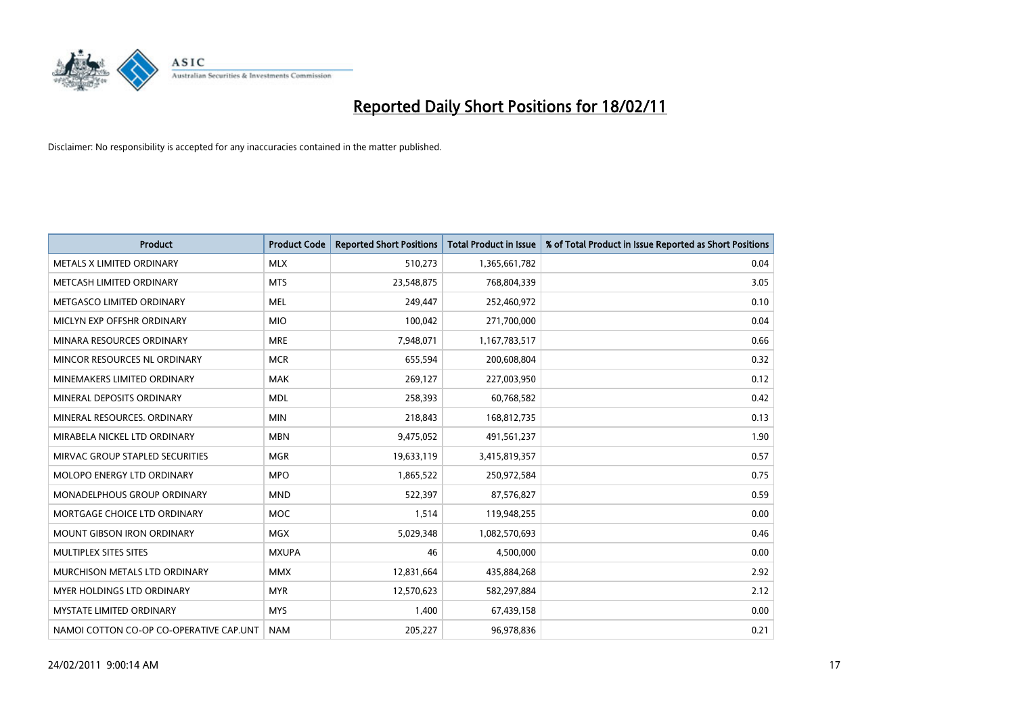

| <b>Product</b>                          | <b>Product Code</b> | <b>Reported Short Positions</b> | <b>Total Product in Issue</b> | % of Total Product in Issue Reported as Short Positions |
|-----------------------------------------|---------------------|---------------------------------|-------------------------------|---------------------------------------------------------|
| METALS X LIMITED ORDINARY               | <b>MLX</b>          | 510,273                         | 1,365,661,782                 | 0.04                                                    |
| METCASH LIMITED ORDINARY                | <b>MTS</b>          | 23,548,875                      | 768,804,339                   | 3.05                                                    |
| METGASCO LIMITED ORDINARY               | <b>MEL</b>          | 249,447                         | 252,460,972                   | 0.10                                                    |
| MICLYN EXP OFFSHR ORDINARY              | <b>MIO</b>          | 100,042                         | 271,700,000                   | 0.04                                                    |
| MINARA RESOURCES ORDINARY               | <b>MRE</b>          | 7,948,071                       | 1,167,783,517                 | 0.66                                                    |
| MINCOR RESOURCES NL ORDINARY            | <b>MCR</b>          | 655,594                         | 200,608,804                   | 0.32                                                    |
| MINEMAKERS LIMITED ORDINARY             | <b>MAK</b>          | 269,127                         | 227,003,950                   | 0.12                                                    |
| MINERAL DEPOSITS ORDINARY               | <b>MDL</b>          | 258,393                         | 60,768,582                    | 0.42                                                    |
| MINERAL RESOURCES. ORDINARY             | <b>MIN</b>          | 218,843                         | 168,812,735                   | 0.13                                                    |
| MIRABELA NICKEL LTD ORDINARY            | <b>MBN</b>          | 9,475,052                       | 491,561,237                   | 1.90                                                    |
| MIRVAC GROUP STAPLED SECURITIES         | <b>MGR</b>          | 19,633,119                      | 3,415,819,357                 | 0.57                                                    |
| MOLOPO ENERGY LTD ORDINARY              | <b>MPO</b>          | 1,865,522                       | 250,972,584                   | 0.75                                                    |
| <b>MONADELPHOUS GROUP ORDINARY</b>      | <b>MND</b>          | 522,397                         | 87,576,827                    | 0.59                                                    |
| MORTGAGE CHOICE LTD ORDINARY            | <b>MOC</b>          | 1,514                           | 119,948,255                   | 0.00                                                    |
| <b>MOUNT GIBSON IRON ORDINARY</b>       | <b>MGX</b>          | 5,029,348                       | 1,082,570,693                 | 0.46                                                    |
| MULTIPLEX SITES SITES                   | <b>MXUPA</b>        | 46                              | 4,500,000                     | 0.00                                                    |
| MURCHISON METALS LTD ORDINARY           | <b>MMX</b>          | 12,831,664                      | 435,884,268                   | 2.92                                                    |
| <b>MYER HOLDINGS LTD ORDINARY</b>       | <b>MYR</b>          | 12,570,623                      | 582,297,884                   | 2.12                                                    |
| <b>MYSTATE LIMITED ORDINARY</b>         | <b>MYS</b>          | 1,400                           | 67,439,158                    | 0.00                                                    |
| NAMOI COTTON CO-OP CO-OPERATIVE CAP.UNT | <b>NAM</b>          | 205,227                         | 96,978,836                    | 0.21                                                    |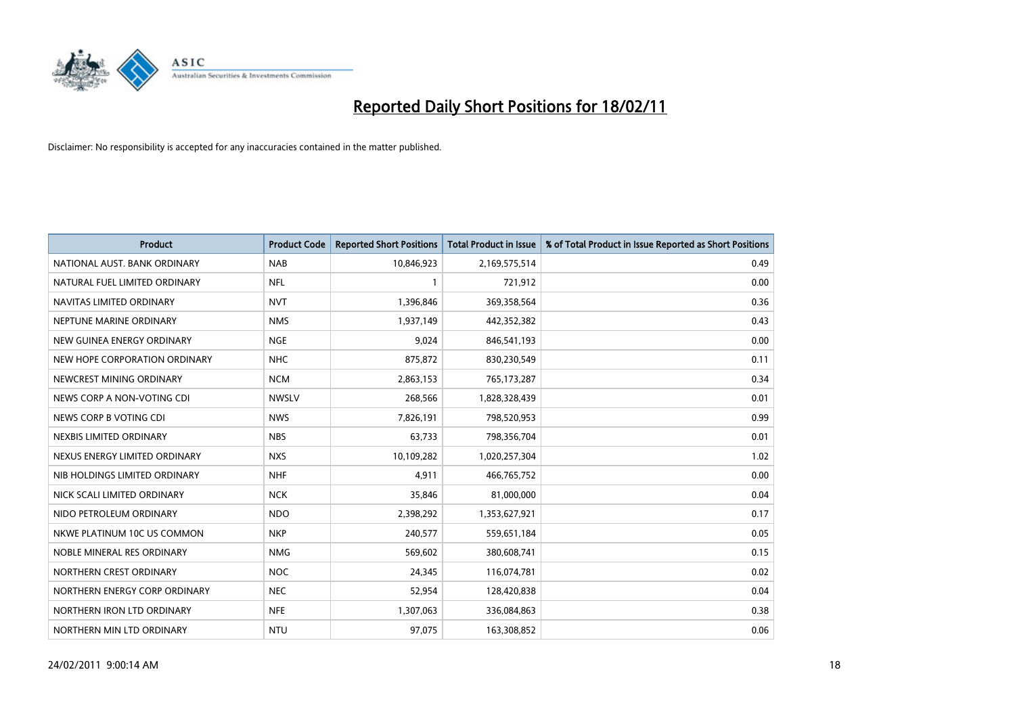

| <b>Product</b>                | <b>Product Code</b> | <b>Reported Short Positions</b> | <b>Total Product in Issue</b> | % of Total Product in Issue Reported as Short Positions |
|-------------------------------|---------------------|---------------------------------|-------------------------------|---------------------------------------------------------|
| NATIONAL AUST, BANK ORDINARY  | <b>NAB</b>          | 10,846,923                      | 2,169,575,514                 | 0.49                                                    |
| NATURAL FUEL LIMITED ORDINARY | <b>NFL</b>          |                                 | 721,912                       | 0.00                                                    |
| NAVITAS LIMITED ORDINARY      | <b>NVT</b>          | 1,396,846                       | 369,358,564                   | 0.36                                                    |
| NEPTUNE MARINE ORDINARY       | <b>NMS</b>          | 1,937,149                       | 442,352,382                   | 0.43                                                    |
| NEW GUINEA ENERGY ORDINARY    | <b>NGE</b>          | 9,024                           | 846,541,193                   | 0.00                                                    |
| NEW HOPE CORPORATION ORDINARY | <b>NHC</b>          | 875,872                         | 830,230,549                   | 0.11                                                    |
| NEWCREST MINING ORDINARY      | <b>NCM</b>          | 2,863,153                       | 765,173,287                   | 0.34                                                    |
| NEWS CORP A NON-VOTING CDI    | <b>NWSLV</b>        | 268,566                         | 1,828,328,439                 | 0.01                                                    |
| NEWS CORP B VOTING CDI        | <b>NWS</b>          | 7,826,191                       | 798,520,953                   | 0.99                                                    |
| NEXBIS LIMITED ORDINARY       | <b>NBS</b>          | 63,733                          | 798,356,704                   | 0.01                                                    |
| NEXUS ENERGY LIMITED ORDINARY | <b>NXS</b>          | 10,109,282                      | 1,020,257,304                 | 1.02                                                    |
| NIB HOLDINGS LIMITED ORDINARY | <b>NHF</b>          | 4,911                           | 466,765,752                   | 0.00                                                    |
| NICK SCALI LIMITED ORDINARY   | <b>NCK</b>          | 35,846                          | 81,000,000                    | 0.04                                                    |
| NIDO PETROLEUM ORDINARY       | <b>NDO</b>          | 2,398,292                       | 1,353,627,921                 | 0.17                                                    |
| NKWE PLATINUM 10C US COMMON   | <b>NKP</b>          | 240,577                         | 559,651,184                   | 0.05                                                    |
| NOBLE MINERAL RES ORDINARY    | <b>NMG</b>          | 569,602                         | 380,608,741                   | 0.15                                                    |
| NORTHERN CREST ORDINARY       | <b>NOC</b>          | 24,345                          | 116,074,781                   | 0.02                                                    |
| NORTHERN ENERGY CORP ORDINARY | <b>NEC</b>          | 52,954                          | 128,420,838                   | 0.04                                                    |
| NORTHERN IRON LTD ORDINARY    | <b>NFE</b>          | 1,307,063                       | 336,084,863                   | 0.38                                                    |
| NORTHERN MIN LTD ORDINARY     | <b>NTU</b>          | 97,075                          | 163,308,852                   | 0.06                                                    |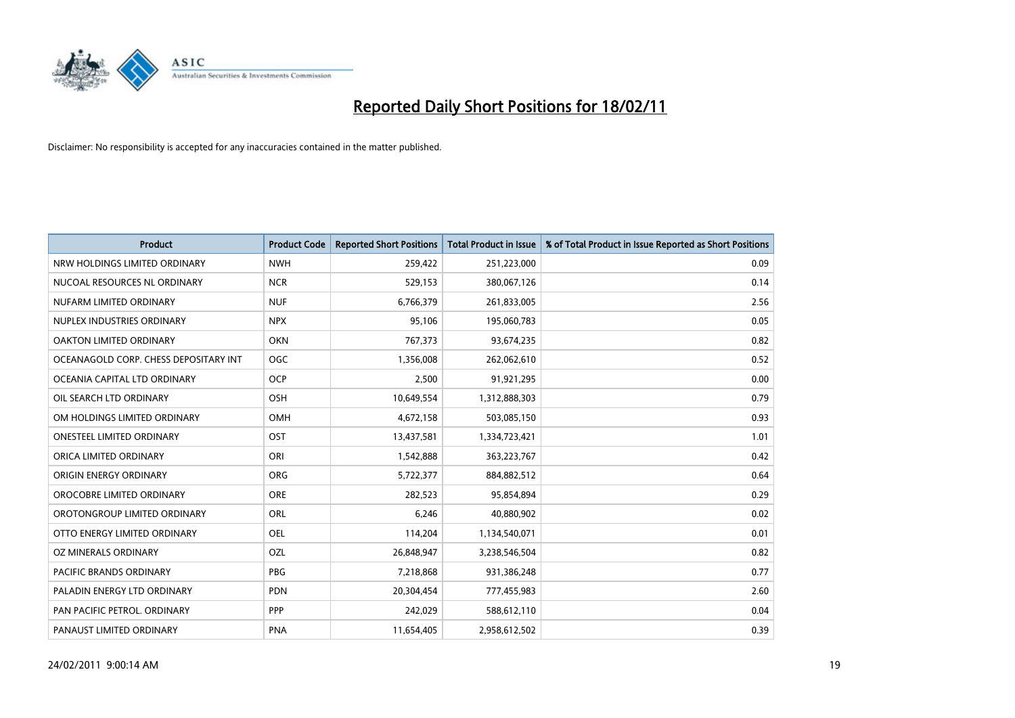

| <b>Product</b>                        | <b>Product Code</b> | <b>Reported Short Positions</b> | <b>Total Product in Issue</b> | % of Total Product in Issue Reported as Short Positions |
|---------------------------------------|---------------------|---------------------------------|-------------------------------|---------------------------------------------------------|
| NRW HOLDINGS LIMITED ORDINARY         | <b>NWH</b>          | 259,422                         | 251,223,000                   | 0.09                                                    |
| NUCOAL RESOURCES NL ORDINARY          | <b>NCR</b>          | 529,153                         | 380,067,126                   | 0.14                                                    |
| NUFARM LIMITED ORDINARY               | <b>NUF</b>          | 6,766,379                       | 261,833,005                   | 2.56                                                    |
| NUPLEX INDUSTRIES ORDINARY            | <b>NPX</b>          | 95,106                          | 195,060,783                   | 0.05                                                    |
| OAKTON LIMITED ORDINARY               | <b>OKN</b>          | 767,373                         | 93,674,235                    | 0.82                                                    |
| OCEANAGOLD CORP. CHESS DEPOSITARY INT | <b>OGC</b>          | 1,356,008                       | 262,062,610                   | 0.52                                                    |
| OCEANIA CAPITAL LTD ORDINARY          | <b>OCP</b>          | 2,500                           | 91,921,295                    | 0.00                                                    |
| OIL SEARCH LTD ORDINARY               | OSH                 | 10,649,554                      | 1,312,888,303                 | 0.79                                                    |
| OM HOLDINGS LIMITED ORDINARY          | OMH                 | 4,672,158                       | 503,085,150                   | 0.93                                                    |
| <b>ONESTEEL LIMITED ORDINARY</b>      | OST                 | 13,437,581                      | 1,334,723,421                 | 1.01                                                    |
| ORICA LIMITED ORDINARY                | ORI                 | 1,542,888                       | 363,223,767                   | 0.42                                                    |
| ORIGIN ENERGY ORDINARY                | ORG                 | 5,722,377                       | 884,882,512                   | 0.64                                                    |
| OROCOBRE LIMITED ORDINARY             | <b>ORE</b>          | 282,523                         | 95,854,894                    | 0.29                                                    |
| OROTONGROUP LIMITED ORDINARY          | <b>ORL</b>          | 6,246                           | 40,880,902                    | 0.02                                                    |
| OTTO ENERGY LIMITED ORDINARY          | <b>OEL</b>          | 114,204                         | 1,134,540,071                 | 0.01                                                    |
| OZ MINERALS ORDINARY                  | OZL                 | 26,848,947                      | 3,238,546,504                 | 0.82                                                    |
| <b>PACIFIC BRANDS ORDINARY</b>        | <b>PBG</b>          | 7,218,868                       | 931,386,248                   | 0.77                                                    |
| PALADIN ENERGY LTD ORDINARY           | <b>PDN</b>          | 20,304,454                      | 777,455,983                   | 2.60                                                    |
| PAN PACIFIC PETROL. ORDINARY          | <b>PPP</b>          | 242,029                         | 588,612,110                   | 0.04                                                    |
| PANAUST LIMITED ORDINARY              | <b>PNA</b>          | 11,654,405                      | 2,958,612,502                 | 0.39                                                    |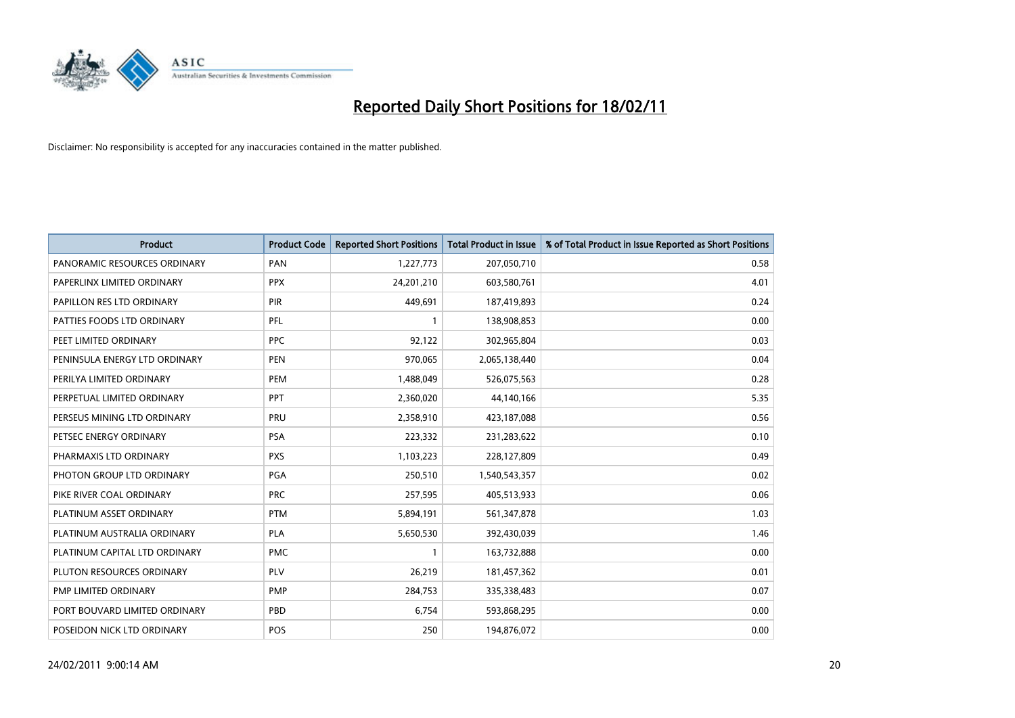

| <b>Product</b>                | <b>Product Code</b> | <b>Reported Short Positions</b> | <b>Total Product in Issue</b> | % of Total Product in Issue Reported as Short Positions |
|-------------------------------|---------------------|---------------------------------|-------------------------------|---------------------------------------------------------|
| PANORAMIC RESOURCES ORDINARY  | PAN                 | 1,227,773                       | 207,050,710                   | 0.58                                                    |
| PAPERLINX LIMITED ORDINARY    | <b>PPX</b>          | 24,201,210                      | 603,580,761                   | 4.01                                                    |
| PAPILLON RES LTD ORDINARY     | PIR                 | 449,691                         | 187,419,893                   | 0.24                                                    |
| PATTIES FOODS LTD ORDINARY    | PFL                 |                                 | 138,908,853                   | 0.00                                                    |
| PEET LIMITED ORDINARY         | <b>PPC</b>          | 92,122                          | 302,965,804                   | 0.03                                                    |
| PENINSULA ENERGY LTD ORDINARY | <b>PEN</b>          | 970,065                         | 2,065,138,440                 | 0.04                                                    |
| PERILYA LIMITED ORDINARY      | PEM                 | 1,488,049                       | 526,075,563                   | 0.28                                                    |
| PERPETUAL LIMITED ORDINARY    | PPT                 | 2,360,020                       | 44,140,166                    | 5.35                                                    |
| PERSEUS MINING LTD ORDINARY   | PRU                 | 2,358,910                       | 423,187,088                   | 0.56                                                    |
| PETSEC ENERGY ORDINARY        | <b>PSA</b>          | 223,332                         | 231,283,622                   | 0.10                                                    |
| PHARMAXIS LTD ORDINARY        | <b>PXS</b>          | 1,103,223                       | 228,127,809                   | 0.49                                                    |
| PHOTON GROUP LTD ORDINARY     | PGA                 | 250,510                         | 1,540,543,357                 | 0.02                                                    |
| PIKE RIVER COAL ORDINARY      | <b>PRC</b>          | 257,595                         | 405,513,933                   | 0.06                                                    |
| PLATINUM ASSET ORDINARY       | <b>PTM</b>          | 5,894,191                       | 561,347,878                   | 1.03                                                    |
| PLATINUM AUSTRALIA ORDINARY   | <b>PLA</b>          | 5,650,530                       | 392,430,039                   | 1.46                                                    |
| PLATINUM CAPITAL LTD ORDINARY | <b>PMC</b>          |                                 | 163,732,888                   | 0.00                                                    |
| PLUTON RESOURCES ORDINARY     | <b>PLV</b>          | 26,219                          | 181,457,362                   | 0.01                                                    |
| PMP LIMITED ORDINARY          | <b>PMP</b>          | 284,753                         | 335,338,483                   | 0.07                                                    |
| PORT BOUVARD LIMITED ORDINARY | PBD                 | 6,754                           | 593,868,295                   | 0.00                                                    |
| POSEIDON NICK LTD ORDINARY    | POS                 | 250                             | 194,876,072                   | 0.00                                                    |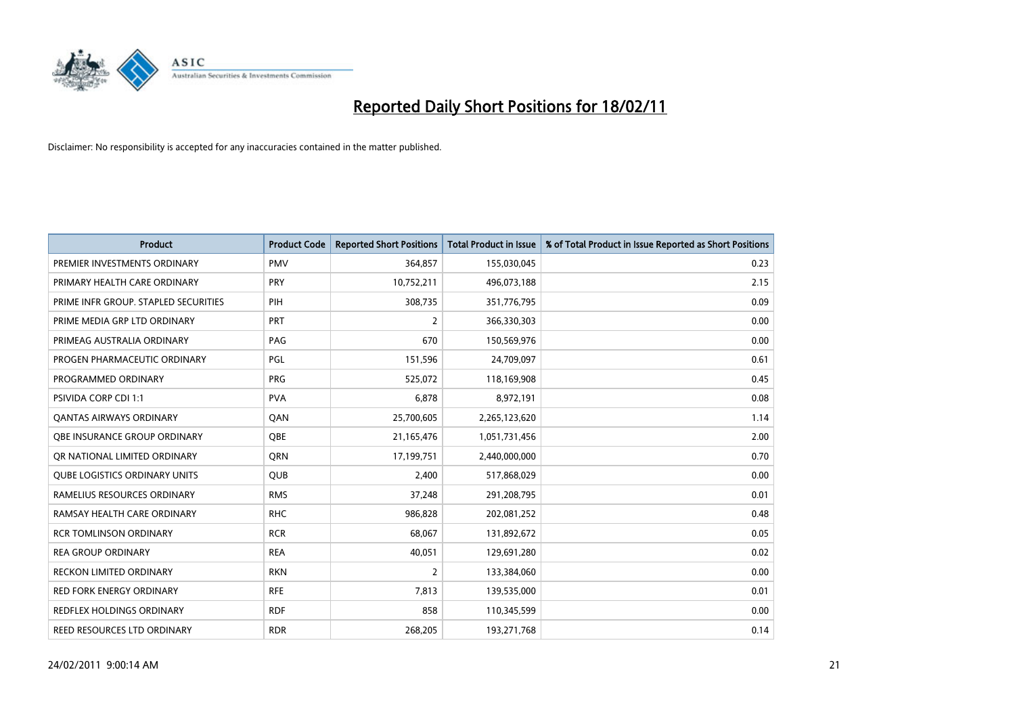

| <b>Product</b>                       | <b>Product Code</b> | <b>Reported Short Positions</b> | Total Product in Issue | % of Total Product in Issue Reported as Short Positions |
|--------------------------------------|---------------------|---------------------------------|------------------------|---------------------------------------------------------|
| PREMIER INVESTMENTS ORDINARY         | <b>PMV</b>          | 364,857                         | 155,030,045            | 0.23                                                    |
| PRIMARY HEALTH CARE ORDINARY         | <b>PRY</b>          | 10,752,211                      | 496,073,188            | 2.15                                                    |
| PRIME INFR GROUP. STAPLED SECURITIES | PIH                 | 308,735                         | 351,776,795            | 0.09                                                    |
| PRIME MEDIA GRP LTD ORDINARY         | PRT                 | $\overline{2}$                  | 366,330,303            | 0.00                                                    |
| PRIMEAG AUSTRALIA ORDINARY           | PAG                 | 670                             | 150,569,976            | 0.00                                                    |
| PROGEN PHARMACEUTIC ORDINARY         | PGL                 | 151,596                         | 24,709,097             | 0.61                                                    |
| PROGRAMMED ORDINARY                  | <b>PRG</b>          | 525,072                         | 118,169,908            | 0.45                                                    |
| <b>PSIVIDA CORP CDI 1:1</b>          | <b>PVA</b>          | 6,878                           | 8,972,191              | 0.08                                                    |
| <b>QANTAS AIRWAYS ORDINARY</b>       | QAN                 | 25,700,605                      | 2,265,123,620          | 1.14                                                    |
| OBE INSURANCE GROUP ORDINARY         | <b>OBE</b>          | 21,165,476                      | 1,051,731,456          | 2.00                                                    |
| OR NATIONAL LIMITED ORDINARY         | <b>ORN</b>          | 17,199,751                      | 2,440,000,000          | 0.70                                                    |
| <b>QUBE LOGISTICS ORDINARY UNITS</b> | QUB                 | 2,400                           | 517,868,029            | 0.00                                                    |
| RAMELIUS RESOURCES ORDINARY          | <b>RMS</b>          | 37,248                          | 291,208,795            | 0.01                                                    |
| RAMSAY HEALTH CARE ORDINARY          | <b>RHC</b>          | 986.828                         | 202,081,252            | 0.48                                                    |
| <b>RCR TOMLINSON ORDINARY</b>        | <b>RCR</b>          | 68,067                          | 131,892,672            | 0.05                                                    |
| <b>REA GROUP ORDINARY</b>            | <b>REA</b>          | 40,051                          | 129,691,280            | 0.02                                                    |
| <b>RECKON LIMITED ORDINARY</b>       | <b>RKN</b>          | $\overline{2}$                  | 133,384,060            | 0.00                                                    |
| RED FORK ENERGY ORDINARY             | <b>RFE</b>          | 7,813                           | 139,535,000            | 0.01                                                    |
| <b>REDFLEX HOLDINGS ORDINARY</b>     | <b>RDF</b>          | 858                             | 110,345,599            | 0.00                                                    |
| REED RESOURCES LTD ORDINARY          | <b>RDR</b>          | 268,205                         | 193,271,768            | 0.14                                                    |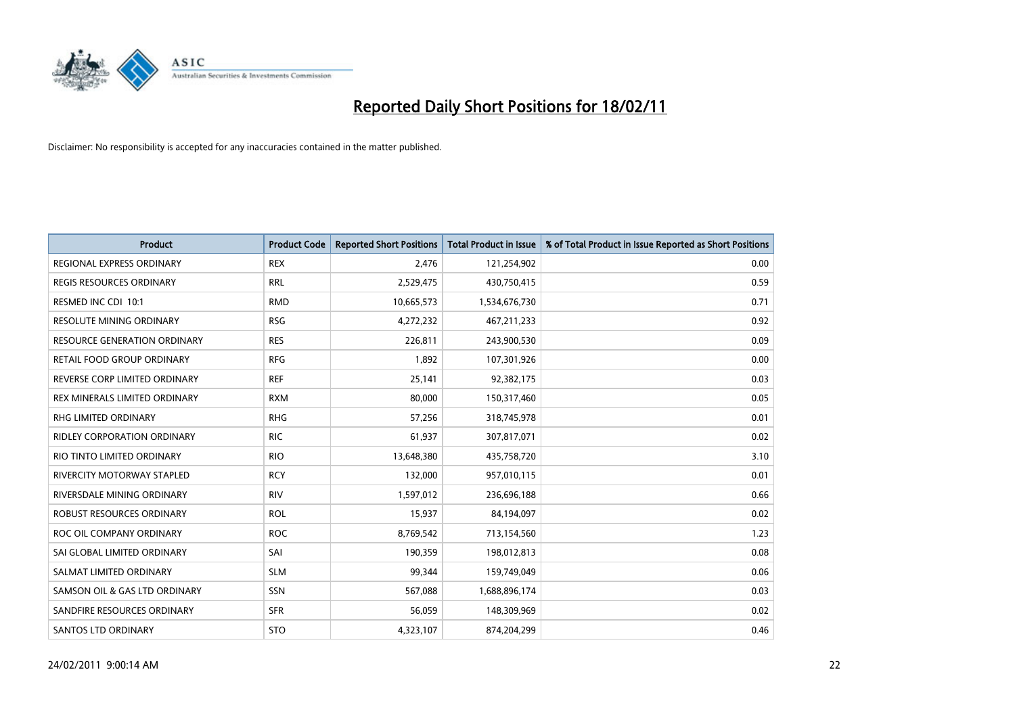

| Product                             | <b>Product Code</b> | <b>Reported Short Positions</b> | Total Product in Issue | % of Total Product in Issue Reported as Short Positions |
|-------------------------------------|---------------------|---------------------------------|------------------------|---------------------------------------------------------|
| <b>REGIONAL EXPRESS ORDINARY</b>    | <b>REX</b>          | 2,476                           | 121,254,902            | 0.00                                                    |
| <b>REGIS RESOURCES ORDINARY</b>     | <b>RRL</b>          | 2,529,475                       | 430,750,415            | 0.59                                                    |
| RESMED INC CDI 10:1                 | <b>RMD</b>          | 10,665,573                      | 1,534,676,730          | 0.71                                                    |
| RESOLUTE MINING ORDINARY            | <b>RSG</b>          | 4,272,232                       | 467, 211, 233          | 0.92                                                    |
| <b>RESOURCE GENERATION ORDINARY</b> | <b>RES</b>          | 226.811                         | 243,900,530            | 0.09                                                    |
| RETAIL FOOD GROUP ORDINARY          | <b>RFG</b>          | 1,892                           | 107,301,926            | 0.00                                                    |
| REVERSE CORP LIMITED ORDINARY       | <b>REF</b>          | 25,141                          | 92,382,175             | 0.03                                                    |
| REX MINERALS LIMITED ORDINARY       | <b>RXM</b>          | 80,000                          | 150,317,460            | 0.05                                                    |
| RHG LIMITED ORDINARY                | <b>RHG</b>          | 57,256                          | 318,745,978            | 0.01                                                    |
| <b>RIDLEY CORPORATION ORDINARY</b>  | <b>RIC</b>          | 61,937                          | 307,817,071            | 0.02                                                    |
| RIO TINTO LIMITED ORDINARY          | <b>RIO</b>          | 13,648,380                      | 435,758,720            | 3.10                                                    |
| RIVERCITY MOTORWAY STAPLED          | <b>RCY</b>          | 132,000                         | 957,010,115            | 0.01                                                    |
| RIVERSDALE MINING ORDINARY          | <b>RIV</b>          | 1,597,012                       | 236,696,188            | 0.66                                                    |
| <b>ROBUST RESOURCES ORDINARY</b>    | <b>ROL</b>          | 15,937                          | 84,194,097             | 0.02                                                    |
| ROC OIL COMPANY ORDINARY            | <b>ROC</b>          | 8,769,542                       | 713,154,560            | 1.23                                                    |
| SAI GLOBAL LIMITED ORDINARY         | SAI                 | 190,359                         | 198,012,813            | 0.08                                                    |
| SALMAT LIMITED ORDINARY             | <b>SLM</b>          | 99,344                          | 159,749,049            | 0.06                                                    |
| SAMSON OIL & GAS LTD ORDINARY       | SSN                 | 567,088                         | 1,688,896,174          | 0.03                                                    |
| SANDFIRE RESOURCES ORDINARY         | <b>SFR</b>          | 56,059                          | 148,309,969            | 0.02                                                    |
| <b>SANTOS LTD ORDINARY</b>          | <b>STO</b>          | 4,323,107                       | 874,204,299            | 0.46                                                    |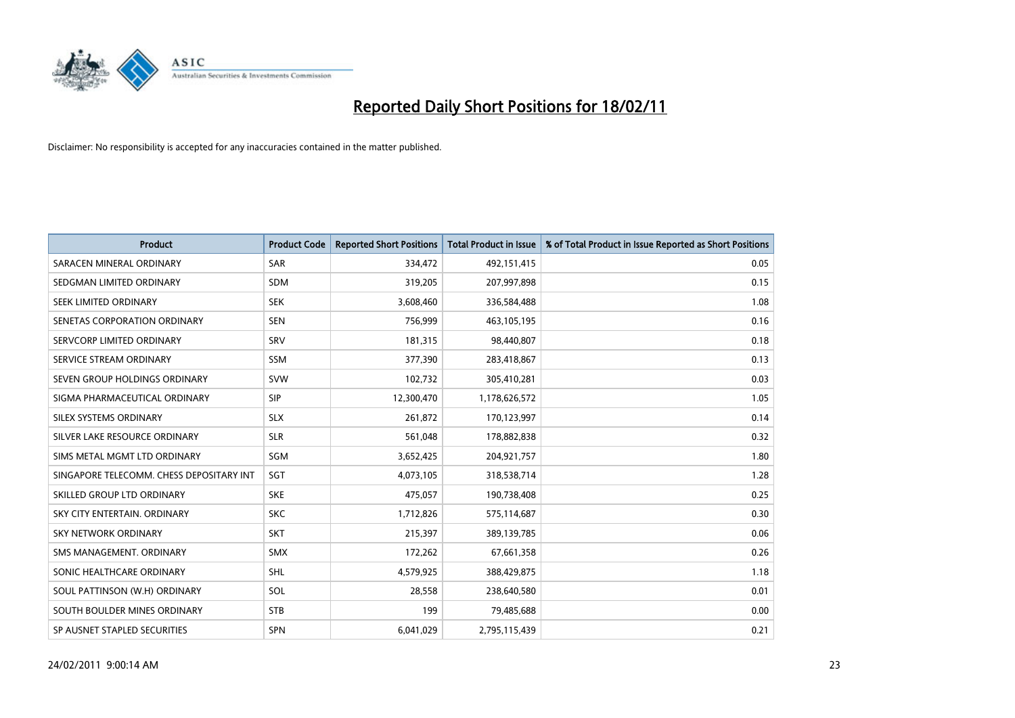

| <b>Product</b>                           | <b>Product Code</b> | <b>Reported Short Positions</b> | <b>Total Product in Issue</b> | % of Total Product in Issue Reported as Short Positions |
|------------------------------------------|---------------------|---------------------------------|-------------------------------|---------------------------------------------------------|
| SARACEN MINERAL ORDINARY                 | <b>SAR</b>          | 334,472                         | 492,151,415                   | 0.05                                                    |
| SEDGMAN LIMITED ORDINARY                 | <b>SDM</b>          | 319,205                         | 207,997,898                   | 0.15                                                    |
| SEEK LIMITED ORDINARY                    | <b>SEK</b>          | 3,608,460                       | 336,584,488                   | 1.08                                                    |
| SENETAS CORPORATION ORDINARY             | <b>SEN</b>          | 756,999                         | 463,105,195                   | 0.16                                                    |
| SERVCORP LIMITED ORDINARY                | SRV                 | 181,315                         | 98,440,807                    | 0.18                                                    |
| SERVICE STREAM ORDINARY                  | SSM                 | 377,390                         | 283,418,867                   | 0.13                                                    |
| SEVEN GROUP HOLDINGS ORDINARY            | <b>SVW</b>          | 102,732                         | 305,410,281                   | 0.03                                                    |
| SIGMA PHARMACEUTICAL ORDINARY            | SIP                 | 12,300,470                      | 1,178,626,572                 | 1.05                                                    |
| SILEX SYSTEMS ORDINARY                   | <b>SLX</b>          | 261,872                         | 170,123,997                   | 0.14                                                    |
| SILVER LAKE RESOURCE ORDINARY            | <b>SLR</b>          | 561,048                         | 178,882,838                   | 0.32                                                    |
| SIMS METAL MGMT LTD ORDINARY             | SGM                 | 3,652,425                       | 204,921,757                   | 1.80                                                    |
| SINGAPORE TELECOMM. CHESS DEPOSITARY INT | SGT                 | 4,073,105                       | 318,538,714                   | 1.28                                                    |
| SKILLED GROUP LTD ORDINARY               | <b>SKE</b>          | 475,057                         | 190,738,408                   | 0.25                                                    |
| SKY CITY ENTERTAIN, ORDINARY             | <b>SKC</b>          | 1,712,826                       | 575,114,687                   | 0.30                                                    |
| SKY NETWORK ORDINARY                     | <b>SKT</b>          | 215,397                         | 389,139,785                   | 0.06                                                    |
| SMS MANAGEMENT, ORDINARY                 | <b>SMX</b>          | 172,262                         | 67,661,358                    | 0.26                                                    |
| SONIC HEALTHCARE ORDINARY                | <b>SHL</b>          | 4,579,925                       | 388,429,875                   | 1.18                                                    |
| SOUL PATTINSON (W.H) ORDINARY            | SOL                 | 28,558                          | 238,640,580                   | 0.01                                                    |
| SOUTH BOULDER MINES ORDINARY             | <b>STB</b>          | 199                             | 79,485,688                    | 0.00                                                    |
| SP AUSNET STAPLED SECURITIES             | SPN                 | 6,041,029                       | 2,795,115,439                 | 0.21                                                    |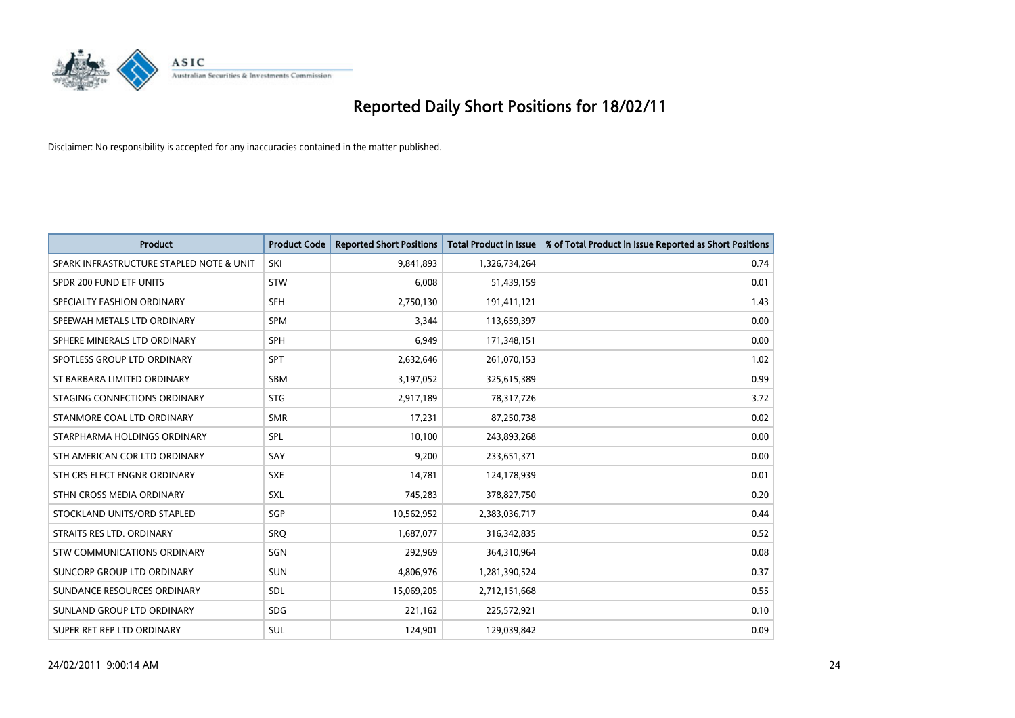

| <b>Product</b>                           | <b>Product Code</b> | <b>Reported Short Positions</b> | <b>Total Product in Issue</b> | % of Total Product in Issue Reported as Short Positions |
|------------------------------------------|---------------------|---------------------------------|-------------------------------|---------------------------------------------------------|
| SPARK INFRASTRUCTURE STAPLED NOTE & UNIT | SKI                 | 9,841,893                       | 1,326,734,264                 | 0.74                                                    |
| SPDR 200 FUND ETF UNITS                  | <b>STW</b>          | 6,008                           | 51,439,159                    | 0.01                                                    |
| SPECIALTY FASHION ORDINARY               | <b>SFH</b>          | 2,750,130                       | 191,411,121                   | 1.43                                                    |
| SPEEWAH METALS LTD ORDINARY              | <b>SPM</b>          | 3,344                           | 113,659,397                   | 0.00                                                    |
| SPHERE MINERALS LTD ORDINARY             | SPH                 | 6.949                           | 171,348,151                   | 0.00                                                    |
| SPOTLESS GROUP LTD ORDINARY              | <b>SPT</b>          | 2,632,646                       | 261,070,153                   | 1.02                                                    |
| ST BARBARA LIMITED ORDINARY              | <b>SBM</b>          | 3,197,052                       | 325,615,389                   | 0.99                                                    |
| STAGING CONNECTIONS ORDINARY             | <b>STG</b>          | 2,917,189                       | 78,317,726                    | 3.72                                                    |
| STANMORE COAL LTD ORDINARY               | <b>SMR</b>          | 17,231                          | 87,250,738                    | 0.02                                                    |
| STARPHARMA HOLDINGS ORDINARY             | SPL                 | 10,100                          | 243,893,268                   | 0.00                                                    |
| STH AMERICAN COR LTD ORDINARY            | SAY                 | 9,200                           | 233,651,371                   | 0.00                                                    |
| STH CRS ELECT ENGNR ORDINARY             | <b>SXE</b>          | 14,781                          | 124,178,939                   | 0.01                                                    |
| STHN CROSS MEDIA ORDINARY                | <b>SXL</b>          | 745,283                         | 378,827,750                   | 0.20                                                    |
| STOCKLAND UNITS/ORD STAPLED              | SGP                 | 10,562,952                      | 2,383,036,717                 | 0.44                                                    |
| STRAITS RES LTD. ORDINARY                | SRO                 | 1,687,077                       | 316, 342, 835                 | 0.52                                                    |
| <b>STW COMMUNICATIONS ORDINARY</b>       | SGN                 | 292,969                         | 364,310,964                   | 0.08                                                    |
| SUNCORP GROUP LTD ORDINARY               | <b>SUN</b>          | 4,806,976                       | 1,281,390,524                 | 0.37                                                    |
| SUNDANCE RESOURCES ORDINARY              | SDL                 | 15,069,205                      | 2,712,151,668                 | 0.55                                                    |
| SUNLAND GROUP LTD ORDINARY               | <b>SDG</b>          | 221,162                         | 225,572,921                   | 0.10                                                    |
| SUPER RET REP LTD ORDINARY               | <b>SUL</b>          | 124,901                         | 129,039,842                   | 0.09                                                    |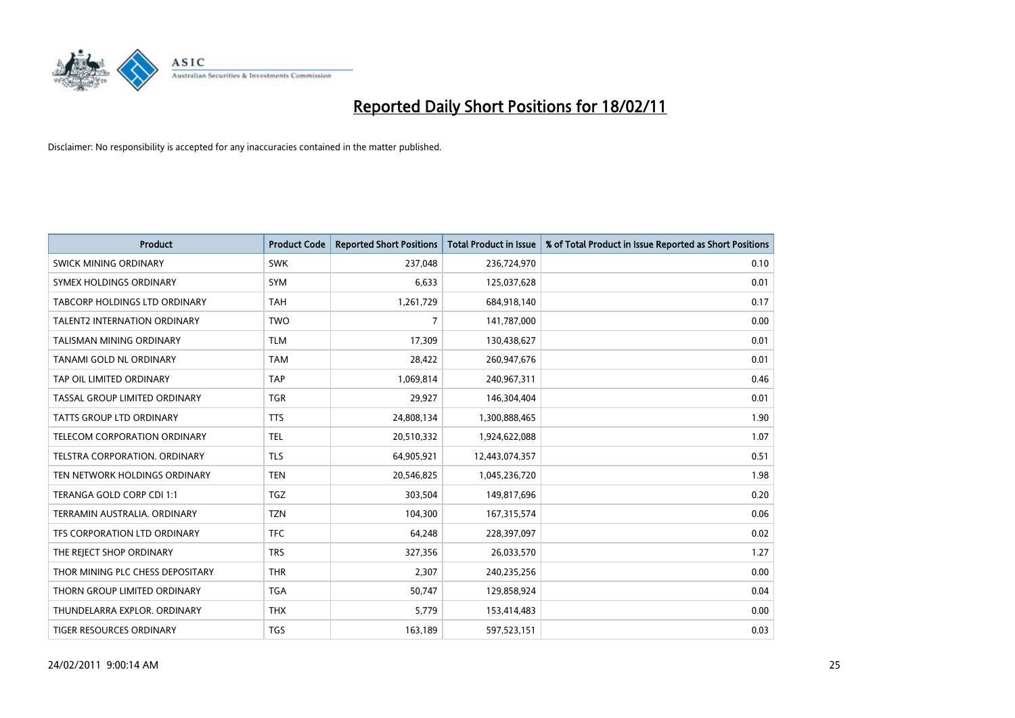

| Product                          | <b>Product Code</b> | <b>Reported Short Positions</b> | <b>Total Product in Issue</b> | % of Total Product in Issue Reported as Short Positions |
|----------------------------------|---------------------|---------------------------------|-------------------------------|---------------------------------------------------------|
| SWICK MINING ORDINARY            | <b>SWK</b>          | 237,048                         | 236,724,970                   | 0.10                                                    |
| SYMEX HOLDINGS ORDINARY          | <b>SYM</b>          | 6,633                           | 125,037,628                   | 0.01                                                    |
| TABCORP HOLDINGS LTD ORDINARY    | <b>TAH</b>          | 1,261,729                       | 684,918,140                   | 0.17                                                    |
| TALENT2 INTERNATION ORDINARY     | <b>TWO</b>          | 7                               | 141,787,000                   | 0.00                                                    |
| <b>TALISMAN MINING ORDINARY</b>  | <b>TLM</b>          | 17,309                          | 130,438,627                   | 0.01                                                    |
| <b>TANAMI GOLD NL ORDINARY</b>   | <b>TAM</b>          | 28,422                          | 260,947,676                   | 0.01                                                    |
| TAP OIL LIMITED ORDINARY         | <b>TAP</b>          | 1,069,814                       | 240,967,311                   | 0.46                                                    |
| TASSAL GROUP LIMITED ORDINARY    | <b>TGR</b>          | 29,927                          | 146,304,404                   | 0.01                                                    |
| <b>TATTS GROUP LTD ORDINARY</b>  | <b>TTS</b>          | 24,808,134                      | 1,300,888,465                 | 1.90                                                    |
| TELECOM CORPORATION ORDINARY     | <b>TEL</b>          | 20,510,332                      | 1,924,622,088                 | 1.07                                                    |
| TELSTRA CORPORATION. ORDINARY    | <b>TLS</b>          | 64,905,921                      | 12,443,074,357                | 0.51                                                    |
| TEN NETWORK HOLDINGS ORDINARY    | <b>TEN</b>          | 20,546,825                      | 1,045,236,720                 | 1.98                                                    |
| TERANGA GOLD CORP CDI 1:1        | <b>TGZ</b>          | 303,504                         | 149,817,696                   | 0.20                                                    |
| TERRAMIN AUSTRALIA. ORDINARY     | <b>TZN</b>          | 104,300                         | 167,315,574                   | 0.06                                                    |
| TFS CORPORATION LTD ORDINARY     | <b>TFC</b>          | 64,248                          | 228,397,097                   | 0.02                                                    |
| THE REJECT SHOP ORDINARY         | <b>TRS</b>          | 327,356                         | 26,033,570                    | 1.27                                                    |
| THOR MINING PLC CHESS DEPOSITARY | <b>THR</b>          | 2,307                           | 240,235,256                   | 0.00                                                    |
| THORN GROUP LIMITED ORDINARY     | <b>TGA</b>          | 50,747                          | 129,858,924                   | 0.04                                                    |
| THUNDELARRA EXPLOR, ORDINARY     | <b>THX</b>          | 5,779                           | 153,414,483                   | 0.00                                                    |
| TIGER RESOURCES ORDINARY         | <b>TGS</b>          | 163,189                         | 597,523,151                   | 0.03                                                    |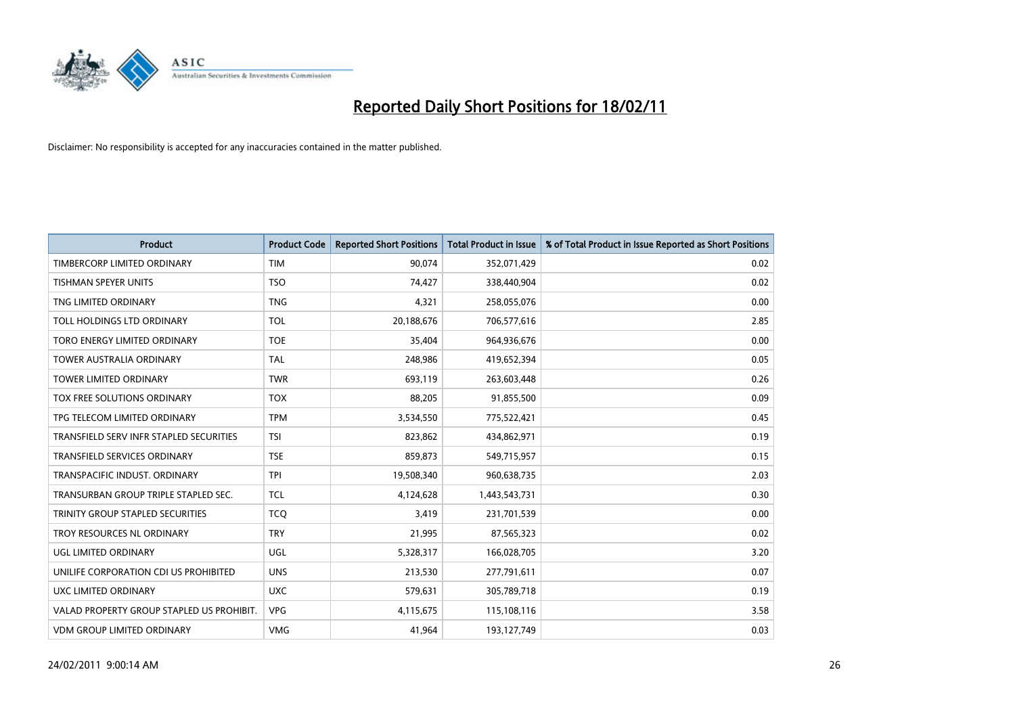

| <b>Product</b>                            | <b>Product Code</b> | <b>Reported Short Positions</b> | Total Product in Issue | % of Total Product in Issue Reported as Short Positions |
|-------------------------------------------|---------------------|---------------------------------|------------------------|---------------------------------------------------------|
| TIMBERCORP LIMITED ORDINARY               | <b>TIM</b>          | 90,074                          | 352,071,429            | 0.02                                                    |
| TISHMAN SPEYER UNITS                      | <b>TSO</b>          | 74,427                          | 338,440,904            | 0.02                                                    |
| TNG LIMITED ORDINARY                      | <b>TNG</b>          | 4,321                           | 258,055,076            | 0.00                                                    |
| TOLL HOLDINGS LTD ORDINARY                | <b>TOL</b>          | 20,188,676                      | 706,577,616            | 2.85                                                    |
| TORO ENERGY LIMITED ORDINARY              | <b>TOE</b>          | 35,404                          | 964,936,676            | 0.00                                                    |
| <b>TOWER AUSTRALIA ORDINARY</b>           | <b>TAL</b>          | 248.986                         | 419,652,394            | 0.05                                                    |
| <b>TOWER LIMITED ORDINARY</b>             | <b>TWR</b>          | 693,119                         | 263,603,448            | 0.26                                                    |
| TOX FREE SOLUTIONS ORDINARY               | <b>TOX</b>          | 88,205                          | 91,855,500             | 0.09                                                    |
| TPG TELECOM LIMITED ORDINARY              | <b>TPM</b>          | 3,534,550                       | 775,522,421            | 0.45                                                    |
| TRANSFIELD SERV INFR STAPLED SECURITIES   | <b>TSI</b>          | 823.862                         | 434,862,971            | 0.19                                                    |
| <b>TRANSFIELD SERVICES ORDINARY</b>       | <b>TSE</b>          | 859,873                         | 549,715,957            | 0.15                                                    |
| TRANSPACIFIC INDUST. ORDINARY             | <b>TPI</b>          | 19,508,340                      | 960,638,735            | 2.03                                                    |
| TRANSURBAN GROUP TRIPLE STAPLED SEC.      | <b>TCL</b>          | 4,124,628                       | 1,443,543,731          | 0.30                                                    |
| TRINITY GROUP STAPLED SECURITIES          | <b>TCO</b>          | 3,419                           | 231,701,539            | 0.00                                                    |
| TROY RESOURCES NL ORDINARY                | <b>TRY</b>          | 21,995                          | 87,565,323             | 0.02                                                    |
| <b>UGL LIMITED ORDINARY</b>               | <b>UGL</b>          | 5,328,317                       | 166,028,705            | 3.20                                                    |
| UNILIFE CORPORATION CDI US PROHIBITED     | <b>UNS</b>          | 213,530                         | 277,791,611            | 0.07                                                    |
| UXC LIMITED ORDINARY                      | <b>UXC</b>          | 579,631                         | 305,789,718            | 0.19                                                    |
| VALAD PROPERTY GROUP STAPLED US PROHIBIT. | <b>VPG</b>          | 4,115,675                       | 115,108,116            | 3.58                                                    |
| VDM GROUP LIMITED ORDINARY                | <b>VMG</b>          | 41,964                          | 193,127,749            | 0.03                                                    |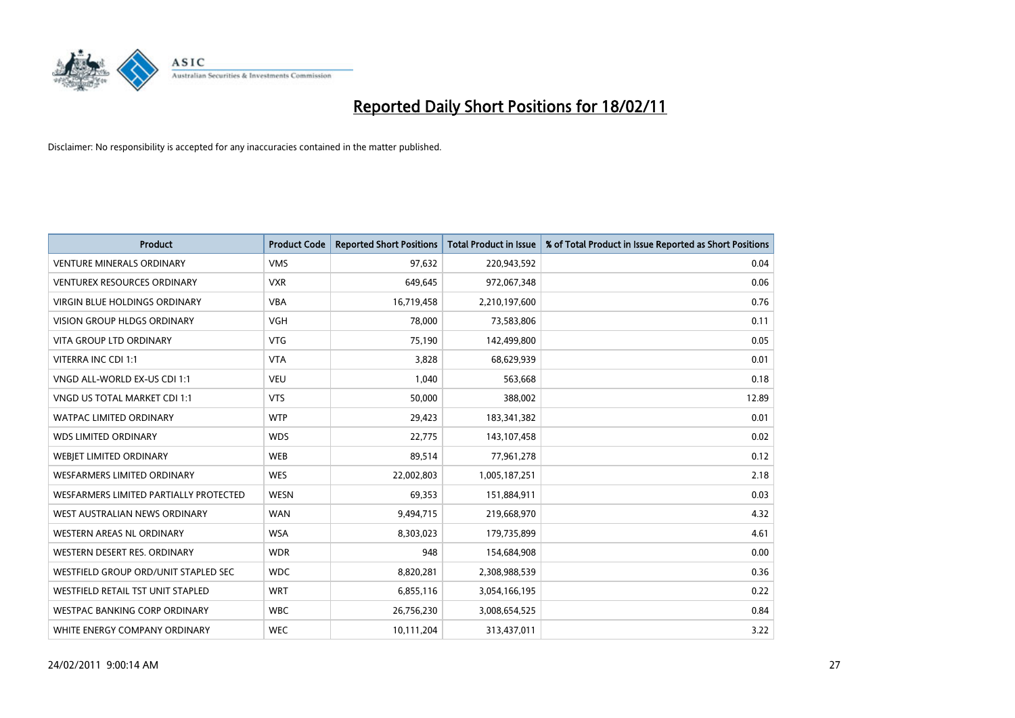

| <b>Product</b>                         | <b>Product Code</b> | <b>Reported Short Positions</b> | <b>Total Product in Issue</b> | % of Total Product in Issue Reported as Short Positions |
|----------------------------------------|---------------------|---------------------------------|-------------------------------|---------------------------------------------------------|
| <b>VENTURE MINERALS ORDINARY</b>       | <b>VMS</b>          | 97,632                          | 220,943,592                   | 0.04                                                    |
| VENTUREX RESOURCES ORDINARY            | <b>VXR</b>          | 649,645                         | 972,067,348                   | 0.06                                                    |
| <b>VIRGIN BLUE HOLDINGS ORDINARY</b>   | <b>VBA</b>          | 16,719,458                      | 2,210,197,600                 | 0.76                                                    |
| VISION GROUP HLDGS ORDINARY            | <b>VGH</b>          | 78,000                          | 73,583,806                    | 0.11                                                    |
| <b>VITA GROUP LTD ORDINARY</b>         | <b>VTG</b>          | 75,190                          | 142,499,800                   | 0.05                                                    |
| VITERRA INC CDI 1:1                    | <b>VTA</b>          | 3,828                           | 68,629,939                    | 0.01                                                    |
| VNGD ALL-WORLD EX-US CDI 1:1           | <b>VEU</b>          | 1,040                           | 563,668                       | 0.18                                                    |
| VNGD US TOTAL MARKET CDI 1:1           | <b>VTS</b>          | 50,000                          | 388,002                       | 12.89                                                   |
| WATPAC LIMITED ORDINARY                | <b>WTP</b>          | 29,423                          | 183,341,382                   | 0.01                                                    |
| <b>WDS LIMITED ORDINARY</b>            | <b>WDS</b>          | 22,775                          | 143,107,458                   | 0.02                                                    |
| WEBJET LIMITED ORDINARY                | <b>WEB</b>          | 89,514                          | 77,961,278                    | 0.12                                                    |
| WESFARMERS LIMITED ORDINARY            | <b>WES</b>          | 22,002,803                      | 1,005,187,251                 | 2.18                                                    |
| WESFARMERS LIMITED PARTIALLY PROTECTED | <b>WESN</b>         | 69,353                          | 151,884,911                   | 0.03                                                    |
| WEST AUSTRALIAN NEWS ORDINARY          | <b>WAN</b>          | 9,494,715                       | 219,668,970                   | 4.32                                                    |
| WESTERN AREAS NL ORDINARY              | <b>WSA</b>          | 8,303,023                       | 179,735,899                   | 4.61                                                    |
| WESTERN DESERT RES. ORDINARY           | <b>WDR</b>          | 948                             | 154,684,908                   | 0.00                                                    |
| WESTFIELD GROUP ORD/UNIT STAPLED SEC   | <b>WDC</b>          | 8,820,281                       | 2,308,988,539                 | 0.36                                                    |
| WESTFIELD RETAIL TST UNIT STAPLED      | <b>WRT</b>          | 6,855,116                       | 3,054,166,195                 | 0.22                                                    |
| <b>WESTPAC BANKING CORP ORDINARY</b>   | <b>WBC</b>          | 26,756,230                      | 3,008,654,525                 | 0.84                                                    |
| WHITE ENERGY COMPANY ORDINARY          | <b>WEC</b>          | 10,111,204                      | 313,437,011                   | 3.22                                                    |